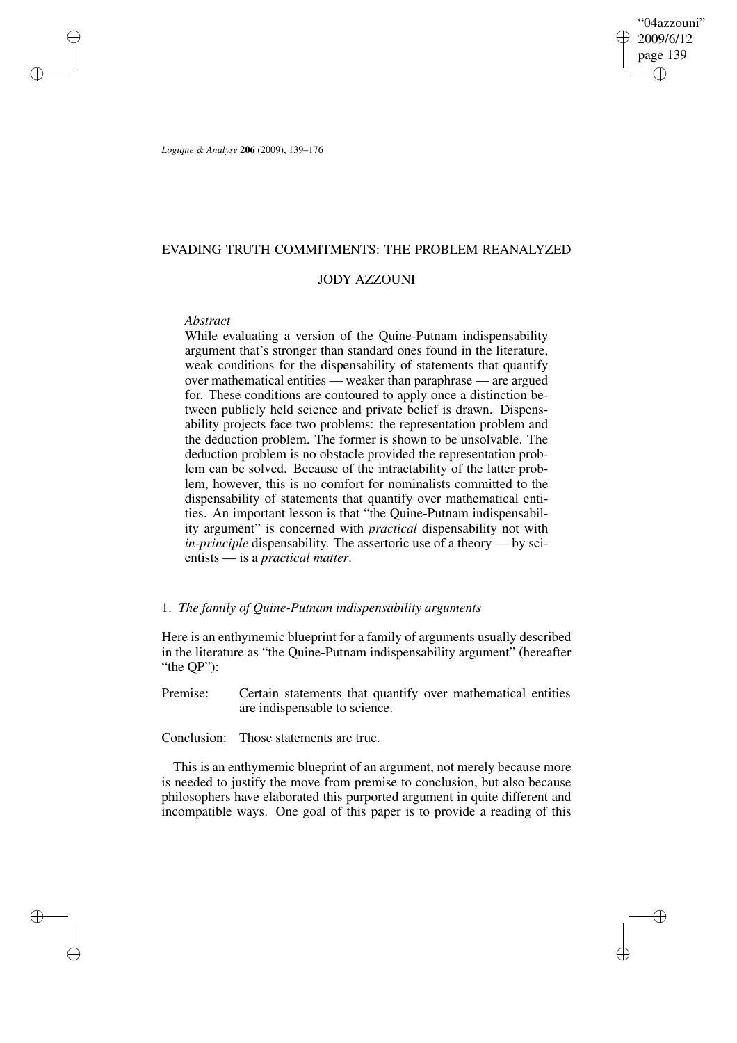"04azzouni" 2009/6/12 page 139 ✐ ✐

✐

✐

*Logique & Analyse* **206** (2009), 139–176

# EVADING TRUTH COMMITMENTS: THE PROBLEM REANALYZED

# JODY AZZOUNI

# *Abstract*

✐

✐

✐

✐

While evaluating a version of the Quine-Putnam indispensability argument that's stronger than standard ones found in the literature, weak conditions for the dispensability of statements that quantify over mathematical entities — weaker than paraphrase — are argued for. These conditions are contoured to apply once a distinction between publicly held science and private belief is drawn. Dispensability projects face two problems: the representation problem and the deduction problem. The former is shown to be unsolvable. The deduction problem is no obstacle provided the representation problem can be solved. Because of the intractability of the latter problem, however, this is no comfort for nominalists committed to the dispensability of statements that quantify over mathematical entities. An important lesson is that "the Quine-Putnam indispensability argument" is concerned with *practical* dispensability not with *in-principle* dispensability. The assertoric use of a theory — by scientists — is a *practical matter*.

## 1. *The family of Quine-Putnam indispensability arguments*

Here is an enthymemic blueprint for a family of arguments usually described in the literature as "the Quine-Putnam indispensability argument" (hereafter "the QP"):

Premise: Certain statements that quantify over mathematical entities are indispensable to science.

Conclusion: Those statements are true.

This is an enthymemic blueprint of an argument, not merely because more is needed to justify the move from premise to conclusion, but also because philosophers have elaborated this purported argument in quite different and incompatible ways. One goal of this paper is to provide a reading of this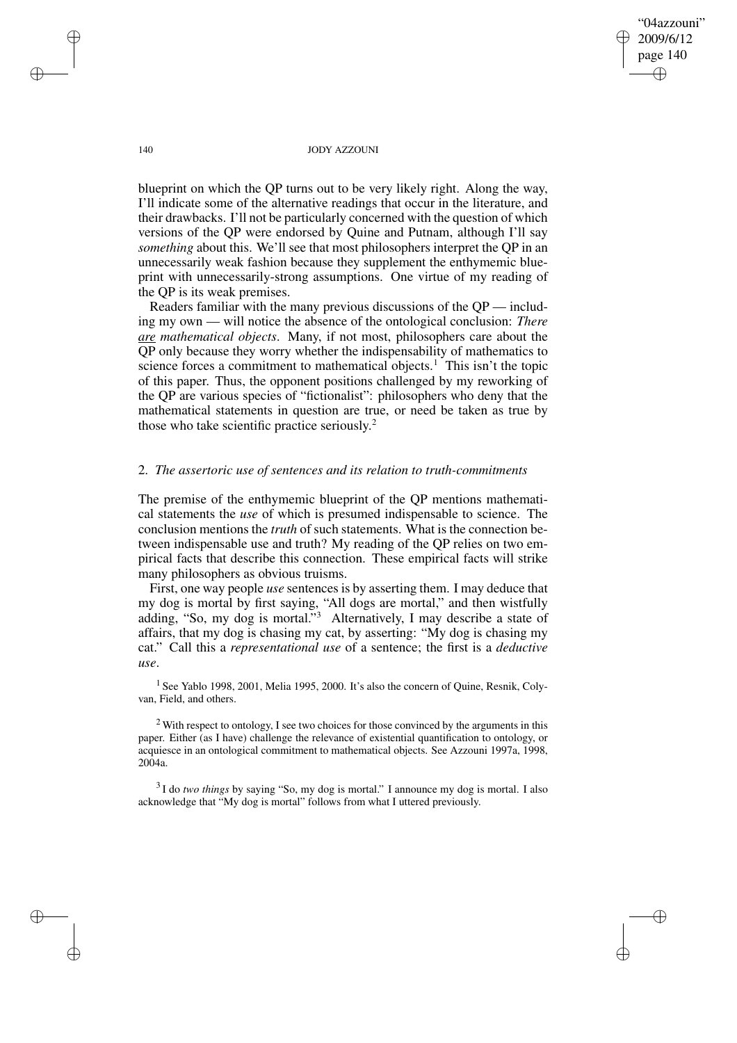"04azzouni" 2009/6/12 page 140 ✐ ✐

✐

✐

## 140 JODY AZZOUNI

blueprint on which the QP turns out to be very likely right. Along the way, I'll indicate some of the alternative readings that occur in the literature, and their drawbacks. I'll not be particularly concerned with the question of which versions of the QP were endorsed by Quine and Putnam, although I'll say *something* about this. We'll see that most philosophers interpret the QP in an unnecessarily weak fashion because they supplement the enthymemic blueprint with unnecessarily-strong assumptions. One virtue of my reading of the QP is its weak premises.

Readers familiar with the many previous discussions of the QP — including my own — will notice the absence of the ontological conclusion: *There are mathematical objects*. Many, if not most, philosophers care about the QP only because they worry whether the indispensability of mathematics to science forces a commitment to mathematical objects.<sup>1</sup> This isn't the topic of this paper. Thus, the opponent positions challenged by my reworking of the QP are various species of "fictionalist": philosophers who deny that the mathematical statements in question are true, or need be taken as true by those who take scientific practice seriously. 2

# 2. *The assertoric use of sentences and its relation to truth-commitments*

The premise of the enthymemic blueprint of the QP mentions mathematical statements the *use* of which is presumed indispensable to science. The conclusion mentions the *truth* of such statements. What is the connection between indispensable use and truth? My reading of the QP relies on two empirical facts that describe this connection. These empirical facts will strike many philosophers as obvious truisms.

First, one way people *use* sentences is by asserting them. I may deduce that my dog is mortal by first saying, "All dogs are mortal," and then wistfully adding, "So, my dog is mortal."<sup>3</sup> Alternatively, I may describe a state of affairs, that my dog is chasing my cat, by asserting: "My dog is chasing my cat." Call this a *representational use* of a sentence; the first is a *deductive use*.

<sup>1</sup> See Yablo 1998, 2001, Melia 1995, 2000. It's also the concern of Quine, Resnik, Colyvan, Field, and others.

<sup>2</sup> With respect to ontology, I see two choices for those convinced by the arguments in this paper. Either (as I have) challenge the relevance of existential quantification to ontology, or acquiesce in an ontological commitment to mathematical objects. See Azzouni 1997a, 1998, 2004a.

3 I do *two things* by saying "So, my dog is mortal." I announce my dog is mortal. I also acknowledge that "My dog is mortal" follows from what I uttered previously.

✐

✐

✐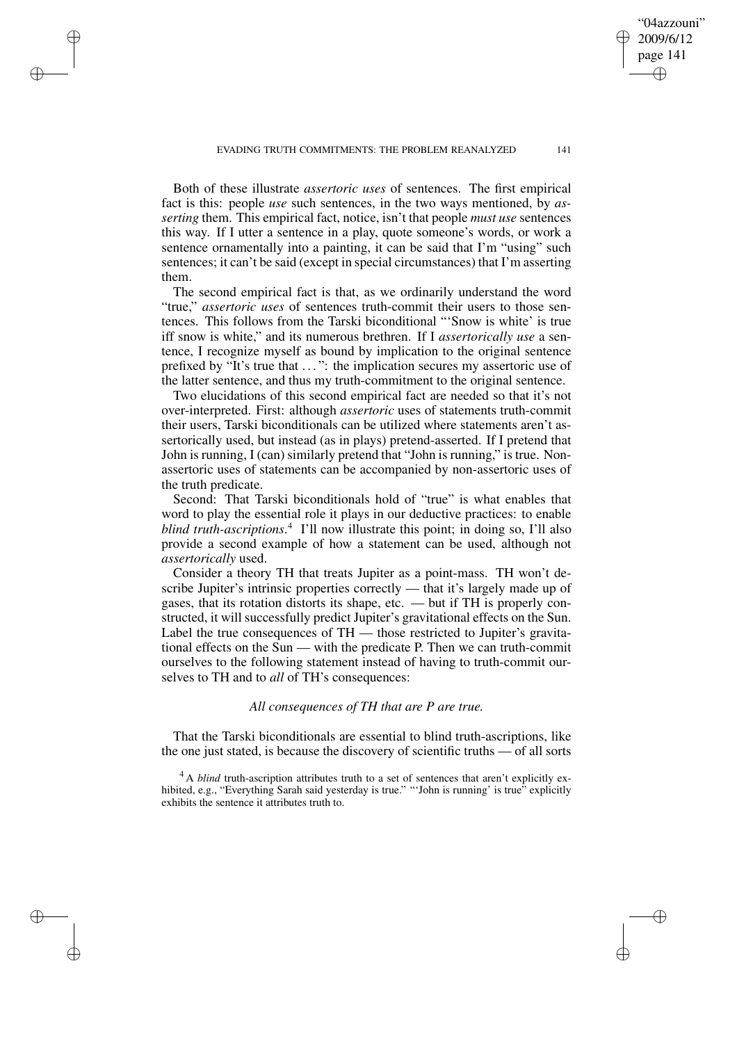EVADING TRUTH COMMITMENTS: THE PROBLEM REANALYZED 141

✐

✐

✐

✐

Both of these illustrate *assertoric uses* of sentences. The first empirical fact is this: people *use* such sentences, in the two ways mentioned, by *asserting* them. This empirical fact, notice, isn't that people *must use* sentences this way. If I utter a sentence in a play, quote someone's words, or work a sentence ornamentally into a painting, it can be said that I'm "using" such sentences; it can't be said (except in special circumstances) that I'm asserting them.

The second empirical fact is that, as we ordinarily understand the word "true," *assertoric uses* of sentences truth-commit their users to those sentences. This follows from the Tarski biconditional "'Snow is white' is true iff snow is white," and its numerous brethren. If I *assertorically use* a sentence, I recognize myself as bound by implication to the original sentence prefixed by "It's true that . . . ": the implication secures my assertoric use of the latter sentence, and thus my truth-commitment to the original sentence.

Two elucidations of this second empirical fact are needed so that it's not over-interpreted. First: although *assertoric* uses of statements truth-commit their users, Tarski biconditionals can be utilized where statements aren't assertorically used, but instead (as in plays) pretend-asserted. If I pretend that John is running, I (can) similarly pretend that "John is running," is true. Nonassertoric uses of statements can be accompanied by non-assertoric uses of the truth predicate.

Second: That Tarski biconditionals hold of "true" is what enables that word to play the essential role it plays in our deductive practices: to enable *blind truth-ascriptions*. 4 I'll now illustrate this point; in doing so, I'll also provide a second example of how a statement can be used, although not *assertorically* used.

Consider a theory TH that treats Jupiter as a point-mass. TH won't describe Jupiter's intrinsic properties correctly — that it's largely made up of gases, that its rotation distorts its shape, etc. — but if TH is properly constructed, it will successfully predict Jupiter's gravitational effects on the Sun. Label the true consequences of TH — those restricted to Jupiter's gravitational effects on the Sun — with the predicate P. Then we can truth-commit ourselves to the following statement instead of having to truth-commit ourselves to TH and to *all* of TH's consequences:

# *All consequences of TH that are P are true.*

That the Tarski biconditionals are essential to blind truth-ascriptions, like the one just stated, is because the discovery of scientific truths — of all sorts

<sup>4</sup> A *blind* truth-ascription attributes truth to a set of sentences that aren't explicitly exhibited, e.g., "Everything Sarah said yesterday is true." "'John is running' is true" explicitly exhibits the sentence it attributes truth to.

"04azzouni" 2009/6/12 page 141

✐

✐

✐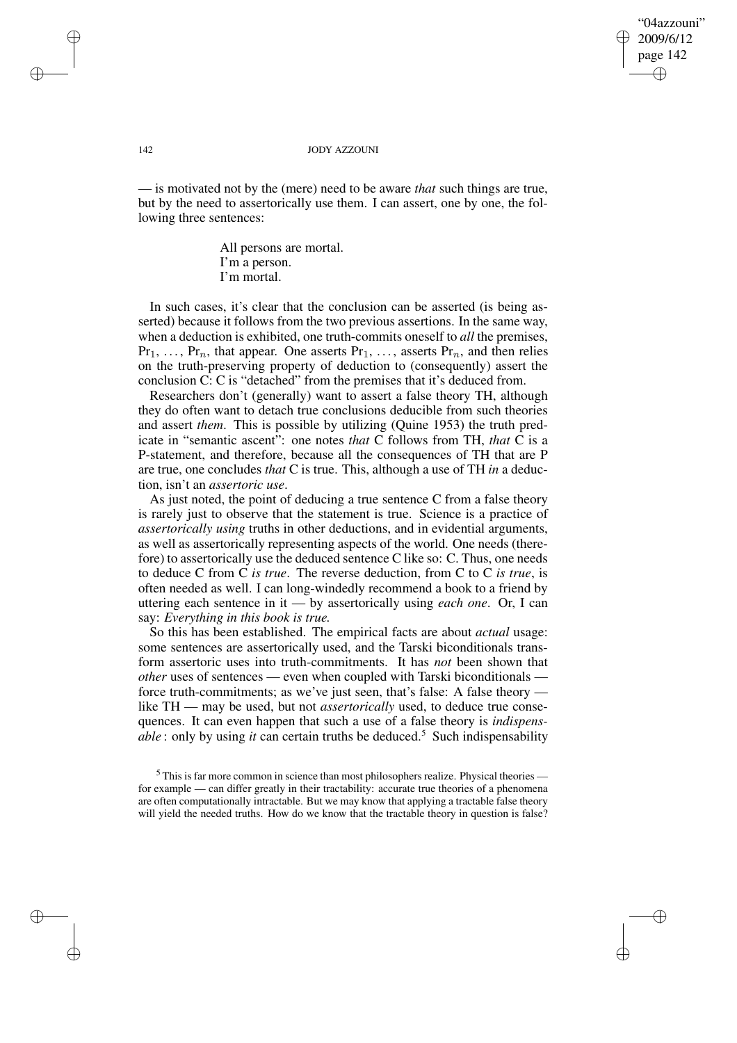"04azzouni" 2009/6/12 page 142 ✐ ✐

✐

✐

## 142 JODY AZZOUNI

— is motivated not by the (mere) need to be aware *that* such things are true, but by the need to assertorically use them. I can assert, one by one, the following three sentences:

> All persons are mortal. I'm a person. I'm mortal.

In such cases, it's clear that the conclusion can be asserted (is being asserted) because it follows from the two previous assertions. In the same way, when a deduction is exhibited, one truth-commits oneself to *all* the premises,  $Pr_1, \ldots, Pr_n$ , that appear. One asserts  $Pr_1, \ldots,$  asserts  $Pr_n$ , and then relies on the truth-preserving property of deduction to (consequently) assert the conclusion C: C is "detached" from the premises that it's deduced from.

Researchers don't (generally) want to assert a false theory TH, although they do often want to detach true conclusions deducible from such theories and assert *them*. This is possible by utilizing (Quine 1953) the truth predicate in "semantic ascent": one notes *that* C follows from TH, *that* C is a P-statement, and therefore, because all the consequences of TH that are P are true, one concludes *that* C is true. This, although a use of TH *in* a deduction, isn't an *assertoric use*.

As just noted, the point of deducing a true sentence C from a false theory is rarely just to observe that the statement is true. Science is a practice of *assertorically using* truths in other deductions, and in evidential arguments, as well as assertorically representing aspects of the world. One needs (therefore) to assertorically use the deduced sentence C like so: C. Thus, one needs to deduce C from C *is true*. The reverse deduction, from C to C *is true*, is often needed as well. I can long-windedly recommend a book to a friend by uttering each sentence in it — by assertorically using *each one*. Or, I can say: *Everything in this book is true.*

So this has been established. The empirical facts are about *actual* usage: some sentences are assertorically used, and the Tarski biconditionals transform assertoric uses into truth-commitments. It has *not* been shown that *other* uses of sentences — even when coupled with Tarski biconditionals force truth-commitments; as we've just seen, that's false: A false theory like TH — may be used, but not *assertorically* used, to deduce true consequences. It can even happen that such a use of a false theory is *indispensable* : only by using *it* can certain truths be deduced.<sup>5</sup> Such indispensability

✐

✐

✐

 $<sup>5</sup>$  This is far more common in science than most philosophers realize. Physical theories —</sup> for example — can differ greatly in their tractability: accurate true theories of a phenomena are often computationally intractable. But we may know that applying a tractable false theory will yield the needed truths. How do we know that the tractable theory in question is false?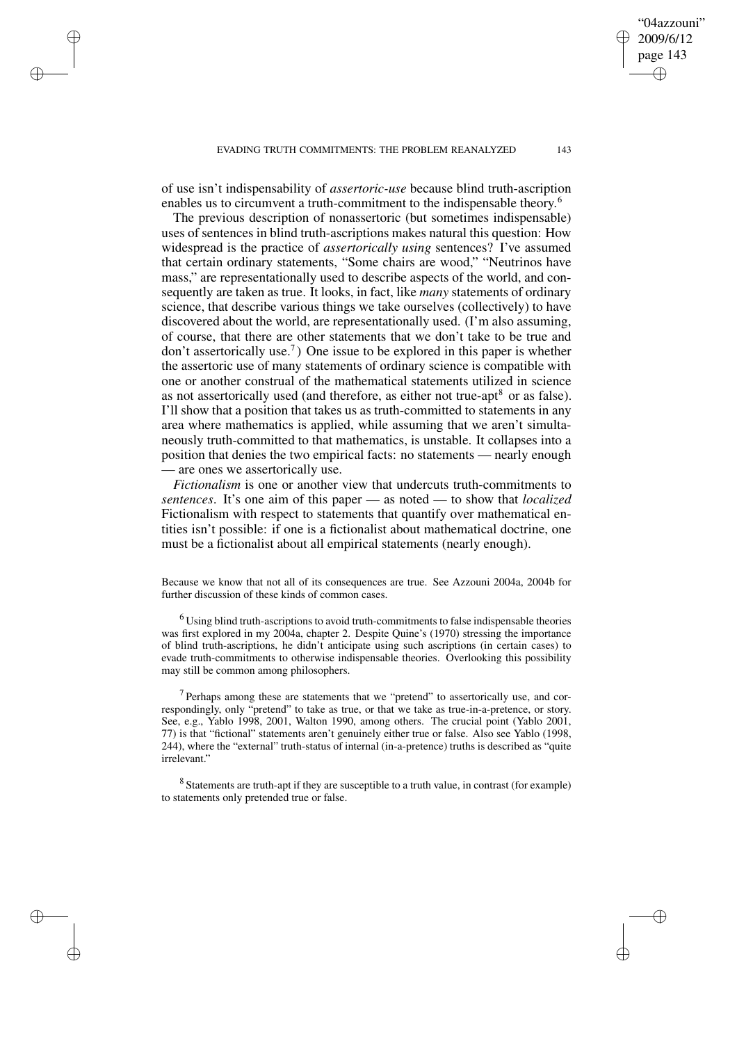EVADING TRUTH COMMITMENTS: THE PROBLEM REANALYZED 143

of use isn't indispensability of *assertoric-use* because blind truth-ascription enables us to circumvent a truth-commitment to the indispensable theory.<sup>6</sup>

✐

✐

✐

✐

The previous description of nonassertoric (but sometimes indispensable) uses of sentences in blind truth-ascriptions makes natural this question: How widespread is the practice of *assertorically using* sentences? I've assumed that certain ordinary statements, "Some chairs are wood," "Neutrinos have mass," are representationally used to describe aspects of the world, and consequently are taken as true. It looks, in fact, like *many* statements of ordinary science, that describe various things we take ourselves (collectively) to have discovered about the world, are representationally used. (I'm also assuming, of course, that there are other statements that we don't take to be true and don't assertorically use.<sup>7</sup> ) One issue to be explored in this paper is whether the assertoric use of many statements of ordinary science is compatible with one or another construal of the mathematical statements utilized in science as not assertorically used (and therefore, as either not true-apt<sup>8</sup> or as false). I'll show that a position that takes us as truth-committed to statements in any area where mathematics is applied, while assuming that we aren't simultaneously truth-committed to that mathematics, is unstable. It collapses into a position that denies the two empirical facts: no statements — nearly enough — are ones we assertorically use.

*Fictionalism* is one or another view that undercuts truth-commitments to *sentences*. It's one aim of this paper — as noted — to show that *localized* Fictionalism with respect to statements that quantify over mathematical entities isn't possible: if one is a fictionalist about mathematical doctrine, one must be a fictionalist about all empirical statements (nearly enough).

Because we know that not all of its consequences are true. See Azzouni 2004a, 2004b for further discussion of these kinds of common cases.

 $6$  Using blind truth-ascriptions to avoid truth-commitments to false indispensable theories was first explored in my 2004a, chapter 2. Despite Quine's (1970) stressing the importance of blind truth-ascriptions, he didn't anticipate using such ascriptions (in certain cases) to evade truth-commitments to otherwise indispensable theories. Overlooking this possibility may still be common among philosophers.

 $7$  Perhaps among these are statements that we "pretend" to assertorically use, and correspondingly, only "pretend" to take as true, or that we take as true-in-a-pretence, or story. See, e.g., Yablo 1998, 2001, Walton 1990, among others. The crucial point (Yablo 2001, 77) is that "fictional" statements aren't genuinely either true or false. Also see Yablo (1998, 244), where the "external" truth-status of internal (in-a-pretence) truths is described as "quite irrelevant."

<sup>8</sup> Statements are truth-apt if they are susceptible to a truth value, in contrast (for example) to statements only pretended true or false.

"04azzouni" 2009/6/12 page 143

✐

✐

✐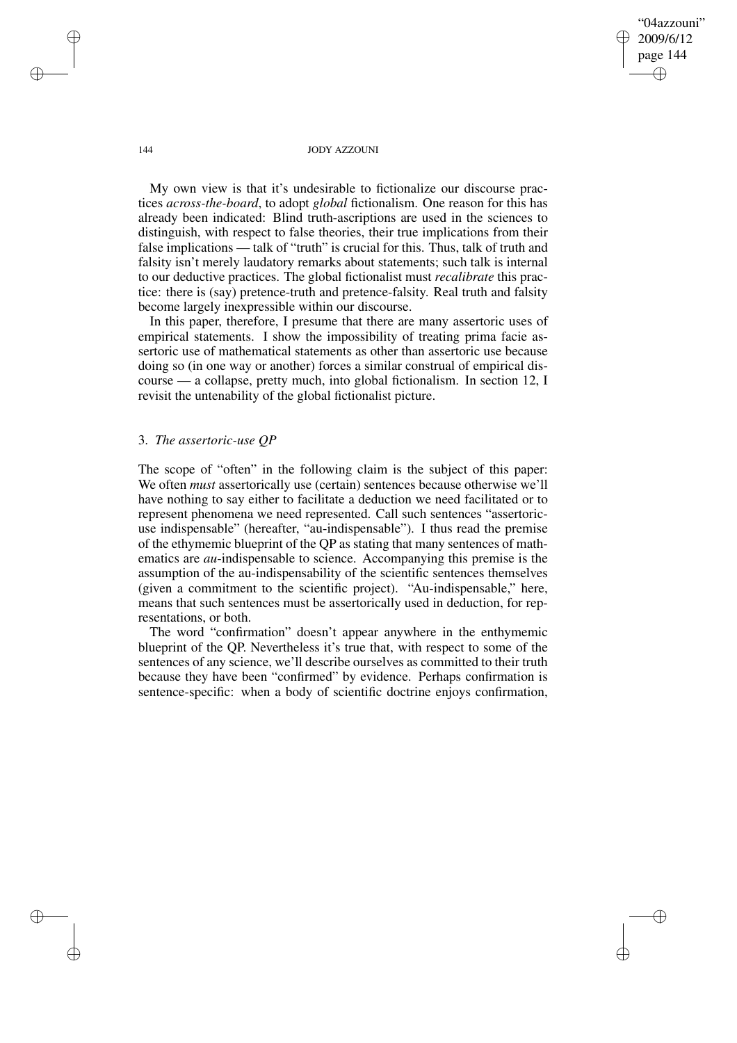"04azzouni" 2009/6/12 page 144 ✐ ✐

✐

✐

#### 144 JODY AZZOUNI

My own view is that it's undesirable to fictionalize our discourse practices *across-the-board*, to adopt *global* fictionalism. One reason for this has already been indicated: Blind truth-ascriptions are used in the sciences to distinguish, with respect to false theories, their true implications from their false implications — talk of "truth" is crucial for this. Thus, talk of truth and falsity isn't merely laudatory remarks about statements; such talk is internal to our deductive practices. The global fictionalist must *recalibrate* this practice: there is (say) pretence-truth and pretence-falsity. Real truth and falsity become largely inexpressible within our discourse.

In this paper, therefore, I presume that there are many assertoric uses of empirical statements. I show the impossibility of treating prima facie assertoric use of mathematical statements as other than assertoric use because doing so (in one way or another) forces a similar construal of empirical discourse — a collapse, pretty much, into global fictionalism. In section 12, I revisit the untenability of the global fictionalist picture.

# 3. *The assertoric-use QP*

The scope of "often" in the following claim is the subject of this paper: We often *must* assertorically use (certain) sentences because otherwise we'll have nothing to say either to facilitate a deduction we need facilitated or to represent phenomena we need represented. Call such sentences "assertoricuse indispensable" (hereafter, "au-indispensable"). I thus read the premise of the ethymemic blueprint of the QP as stating that many sentences of mathematics are *au*-indispensable to science. Accompanying this premise is the assumption of the au-indispensability of the scientific sentences themselves (given a commitment to the scientific project). "Au-indispensable," here, means that such sentences must be assertorically used in deduction, for representations, or both.

The word "confirmation" doesn't appear anywhere in the enthymemic blueprint of the QP. Nevertheless it's true that, with respect to some of the sentences of any science, we'll describe ourselves as committed to their truth because they have been "confirmed" by evidence. Perhaps confirmation is sentence-specific: when a body of scientific doctrine enjoys confirmation,

✐

✐

✐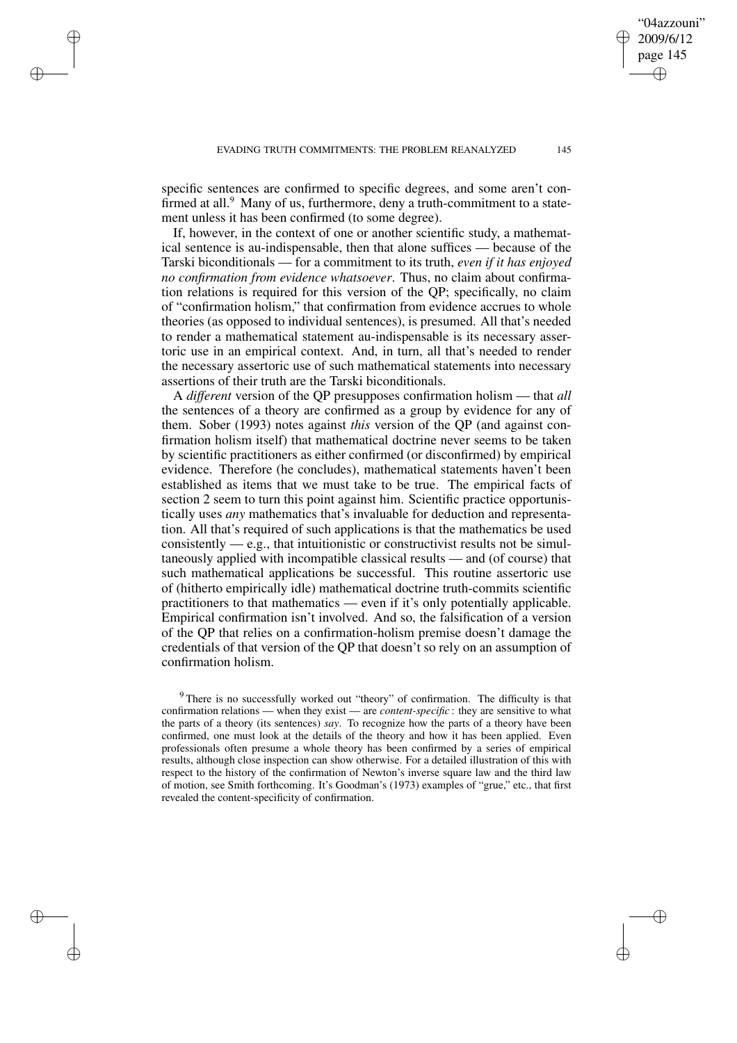✐

✐

✐

✐

"04azzouni" 2009/6/12 page 145

✐

✐

✐

✐

specific sentences are confirmed to specific degrees, and some aren't confirmed at all.<sup>9</sup> Many of us, furthermore, deny a truth-commitment to a statement unless it has been confirmed (to some degree).

If, however, in the context of one or another scientific study, a mathematical sentence is au-indispensable, then that alone suffices — because of the Tarski biconditionals — for a commitment to its truth, *even if it has enjoyed no confirmation from evidence whatsoever*. Thus, no claim about confirmation relations is required for this version of the QP; specifically, no claim of "confirmation holism," that confirmation from evidence accrues to whole theories (as opposed to individual sentences), is presumed. All that's needed to render a mathematical statement au-indispensable is its necessary assertoric use in an empirical context. And, in turn, all that's needed to render the necessary assertoric use of such mathematical statements into necessary assertions of their truth are the Tarski biconditionals.

A *different* version of the QP presupposes confirmation holism — that *all* the sentences of a theory are confirmed as a group by evidence for any of them. Sober (1993) notes against *this* version of the QP (and against confirmation holism itself) that mathematical doctrine never seems to be taken by scientific practitioners as either confirmed (or disconfirmed) by empirical evidence. Therefore (he concludes), mathematical statements haven't been established as items that we must take to be true. The empirical facts of section 2 seem to turn this point against him. Scientific practice opportunistically uses *any* mathematics that's invaluable for deduction and representation. All that's required of such applications is that the mathematics be used consistently  $-e.g.,$  that intuitionistic or constructivist results not be simultaneously applied with incompatible classical results — and (of course) that such mathematical applications be successful. This routine assertoric use of (hitherto empirically idle) mathematical doctrine truth-commits scientific practitioners to that mathematics — even if it's only potentially applicable. Empirical confirmation isn't involved. And so, the falsification of a version of the QP that relies on a confirmation-holism premise doesn't damage the credentials of that version of the QP that doesn't so rely on an assumption of confirmation holism.

<sup>&</sup>lt;sup>9</sup> There is no successfully worked out "theory" of confirmation. The difficulty is that confirmation relations — when they exist — are *content-specific* : they are sensitive to what the parts of a theory (its sentences) *say*. To recognize how the parts of a theory have been confirmed, one must look at the details of the theory and how it has been applied. Even professionals often presume a whole theory has been confirmed by a series of empirical results, although close inspection can show otherwise. For a detailed illustration of this with respect to the history of the confirmation of Newton's inverse square law and the third law of motion, see Smith forthcoming. It's Goodman's (1973) examples of "grue," etc., that first revealed the content-specificity of confirmation.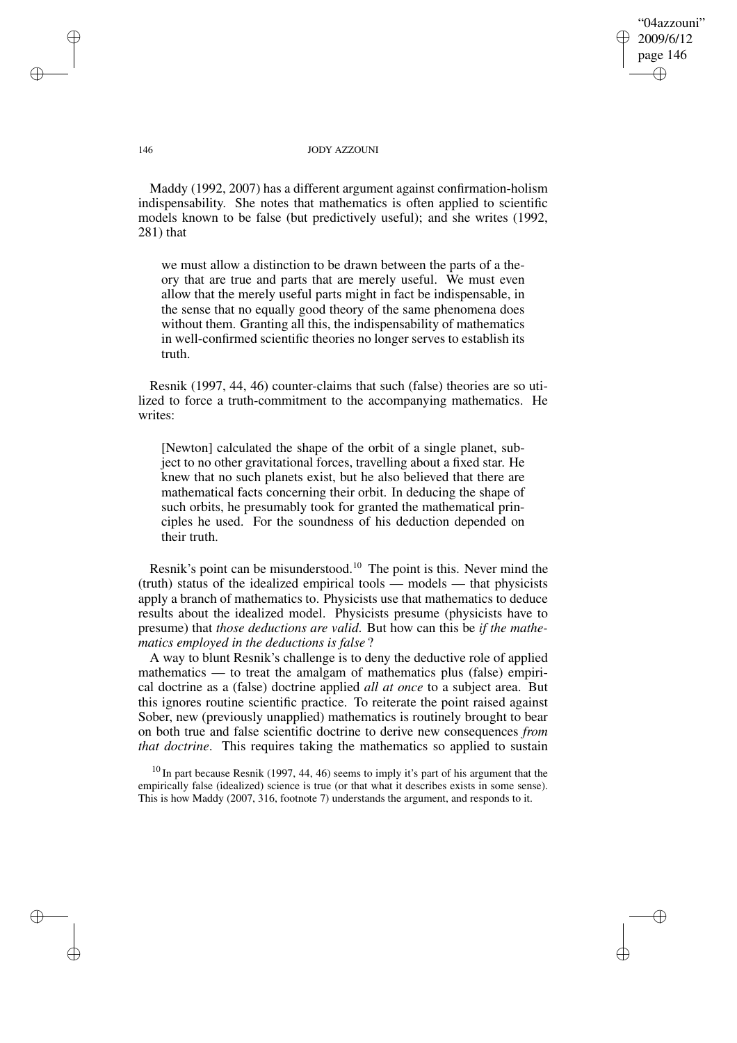"04azzouni" 2009/6/12 page 146 ✐ ✐

✐

✐

## 146 JODY AZZOUNI

Maddy (1992, 2007) has a different argument against confirmation-holism indispensability. She notes that mathematics is often applied to scientific models known to be false (but predictively useful); and she writes (1992, 281) that

we must allow a distinction to be drawn between the parts of a theory that are true and parts that are merely useful. We must even allow that the merely useful parts might in fact be indispensable, in the sense that no equally good theory of the same phenomena does without them. Granting all this, the indispensability of mathematics in well-confirmed scientific theories no longer serves to establish its truth.

Resnik (1997, 44, 46) counter-claims that such (false) theories are so utilized to force a truth-commitment to the accompanying mathematics. He writes:

[Newton] calculated the shape of the orbit of a single planet, subject to no other gravitational forces, travelling about a fixed star. He knew that no such planets exist, but he also believed that there are mathematical facts concerning their orbit. In deducing the shape of such orbits, he presumably took for granted the mathematical principles he used. For the soundness of his deduction depended on their truth.

Resnik's point can be misunderstood.<sup>10</sup> The point is this. Never mind the (truth) status of the idealized empirical tools — models — that physicists apply a branch of mathematics to. Physicists use that mathematics to deduce results about the idealized model. Physicists presume (physicists have to presume) that *those deductions are valid*. But how can this be *if the mathematics employed in the deductions is false* ?

A way to blunt Resnik's challenge is to deny the deductive role of applied mathematics — to treat the amalgam of mathematics plus (false) empirical doctrine as a (false) doctrine applied *all at once* to a subject area. But this ignores routine scientific practice. To reiterate the point raised against Sober, new (previously unapplied) mathematics is routinely brought to bear on both true and false scientific doctrine to derive new consequences *from that doctrine*. This requires taking the mathematics so applied to sustain

 $10$  In part because Resnik (1997, 44, 46) seems to imply it's part of his argument that the empirically false (idealized) science is true (or that what it describes exists in some sense). This is how Maddy (2007, 316, footnote 7) understands the argument, and responds to it.

✐

✐

✐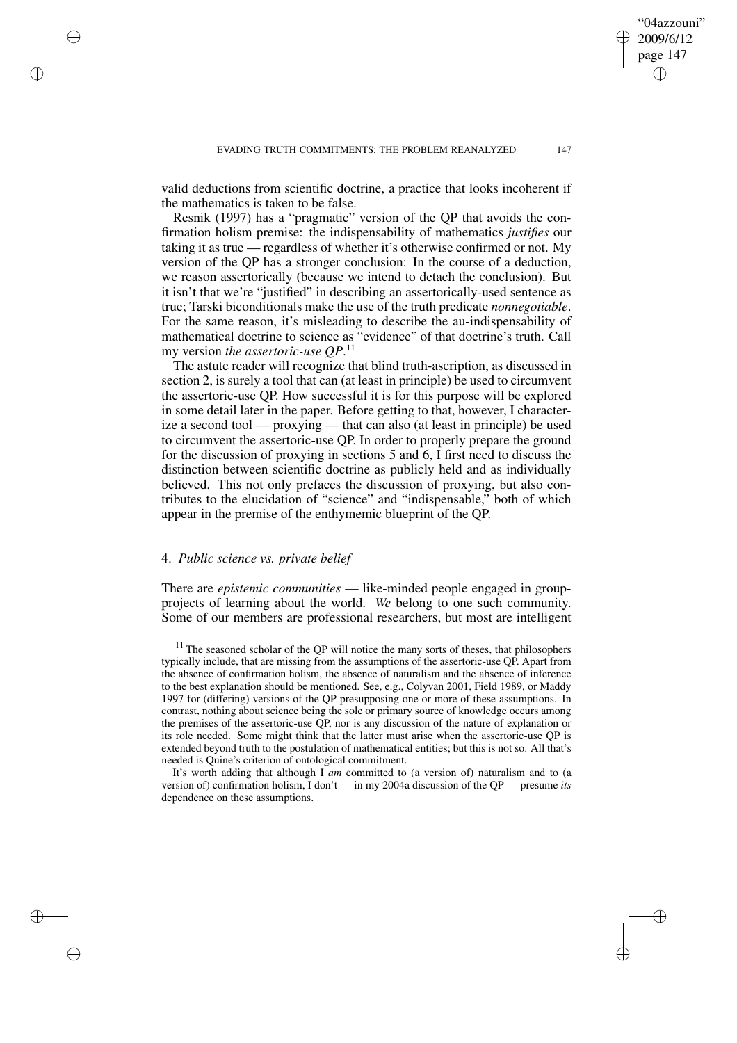valid deductions from scientific doctrine, a practice that looks incoherent if the mathematics is taken to be false.

Resnik (1997) has a "pragmatic" version of the QP that avoids the confirmation holism premise: the indispensability of mathematics *justifies* our taking it as true — regardless of whether it's otherwise confirmed or not. My version of the QP has a stronger conclusion: In the course of a deduction, we reason assertorically (because we intend to detach the conclusion). But it isn't that we're "justified" in describing an assertorically-used sentence as true; Tarski biconditionals make the use of the truth predicate *nonnegotiable*. For the same reason, it's misleading to describe the au-indispensability of mathematical doctrine to science as "evidence" of that doctrine's truth. Call my version *the assertoric-use QP*. 11

The astute reader will recognize that blind truth-ascription, as discussed in section 2, is surely a tool that can (at least in principle) be used to circumvent the assertoric-use QP. How successful it is for this purpose will be explored in some detail later in the paper. Before getting to that, however, I characterize a second tool — proxying — that can also (at least in principle) be used to circumvent the assertoric-use QP. In order to properly prepare the ground for the discussion of proxying in sections 5 and 6, I first need to discuss the distinction between scientific doctrine as publicly held and as individually believed. This not only prefaces the discussion of proxying, but also contributes to the elucidation of "science" and "indispensable," both of which appear in the premise of the enthymemic blueprint of the QP.

## 4. *Public science vs. private belief*

✐

✐

✐

✐

There are *epistemic communities* — like-minded people engaged in groupprojects of learning about the world. *We* belong to one such community. Some of our members are professional researchers, but most are intelligent

 $11$  The seasoned scholar of the QP will notice the many sorts of theses, that philosophers typically include, that are missing from the assumptions of the assertoric-use QP. Apart from the absence of confirmation holism, the absence of naturalism and the absence of inference to the best explanation should be mentioned. See, e.g., Colyvan 2001, Field 1989, or Maddy 1997 for (differing) versions of the QP presupposing one or more of these assumptions. In contrast, nothing about science being the sole or primary source of knowledge occurs among the premises of the assertoric-use QP, nor is any discussion of the nature of explanation or its role needed. Some might think that the latter must arise when the assertoric-use QP is extended beyond truth to the postulation of mathematical entities; but this is not so. All that's needed is Quine's criterion of ontological commitment.

It's worth adding that although I *am* committed to (a version of) naturalism and to (a version of) confirmation holism, I don't — in my 2004a discussion of the QP — presume *its* dependence on these assumptions.

"04azzouni" 2009/6/12 page 147

✐

✐

✐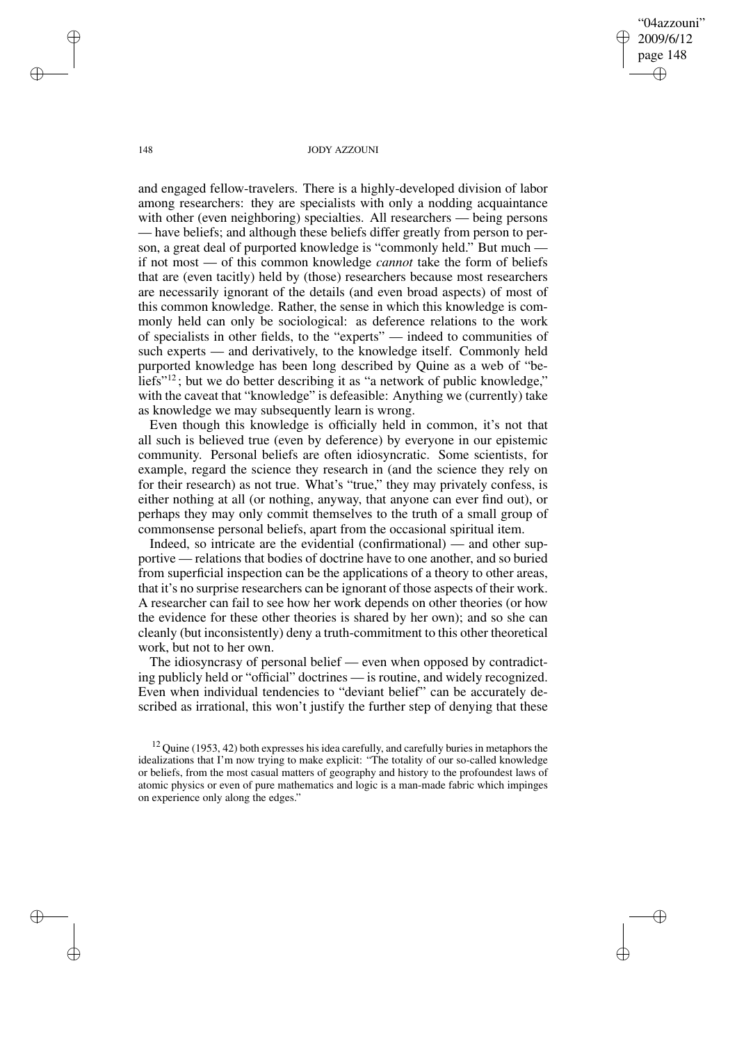"04azzouni" 2009/6/12 page 148 ✐ ✐

✐

✐

## 148 JODY AZZOUNI

and engaged fellow-travelers. There is a highly-developed division of labor among researchers: they are specialists with only a nodding acquaintance with other (even neighboring) specialties. All researchers — being persons — have beliefs; and although these beliefs differ greatly from person to person, a great deal of purported knowledge is "commonly held." But much if not most — of this common knowledge *cannot* take the form of beliefs that are (even tacitly) held by (those) researchers because most researchers are necessarily ignorant of the details (and even broad aspects) of most of this common knowledge. Rather, the sense in which this knowledge is commonly held can only be sociological: as deference relations to the work of specialists in other fields, to the "experts" — indeed to communities of such experts — and derivatively, to the knowledge itself. Commonly held purported knowledge has been long described by Quine as a web of "beliefs"<sup>12</sup>; but we do better describing it as "a network of public knowledge," with the caveat that "knowledge" is defeasible: Anything we (currently) take as knowledge we may subsequently learn is wrong.

Even though this knowledge is officially held in common, it's not that all such is believed true (even by deference) by everyone in our epistemic community. Personal beliefs are often idiosyncratic. Some scientists, for example, regard the science they research in (and the science they rely on for their research) as not true. What's "true," they may privately confess, is either nothing at all (or nothing, anyway, that anyone can ever find out), or perhaps they may only commit themselves to the truth of a small group of commonsense personal beliefs, apart from the occasional spiritual item.

Indeed, so intricate are the evidential (confirmational) — and other supportive — relations that bodies of doctrine have to one another, and so buried from superficial inspection can be the applications of a theory to other areas, that it's no surprise researchers can be ignorant of those aspects of their work. A researcher can fail to see how her work depends on other theories (or how the evidence for these other theories is shared by her own); and so she can cleanly (but inconsistently) deny a truth-commitment to this other theoretical work, but not to her own.

The idiosyncrasy of personal belief — even when opposed by contradicting publicly held or "official" doctrines — is routine, and widely recognized. Even when individual tendencies to "deviant belief" can be accurately described as irrational, this won't justify the further step of denying that these

✐

✐

✐

 $12$  Quine (1953, 42) both expresses his idea carefully, and carefully buries in metaphors the idealizations that I'm now trying to make explicit: "The totality of our so-called knowledge or beliefs, from the most casual matters of geography and history to the profoundest laws of atomic physics or even of pure mathematics and logic is a man-made fabric which impinges on experience only along the edges."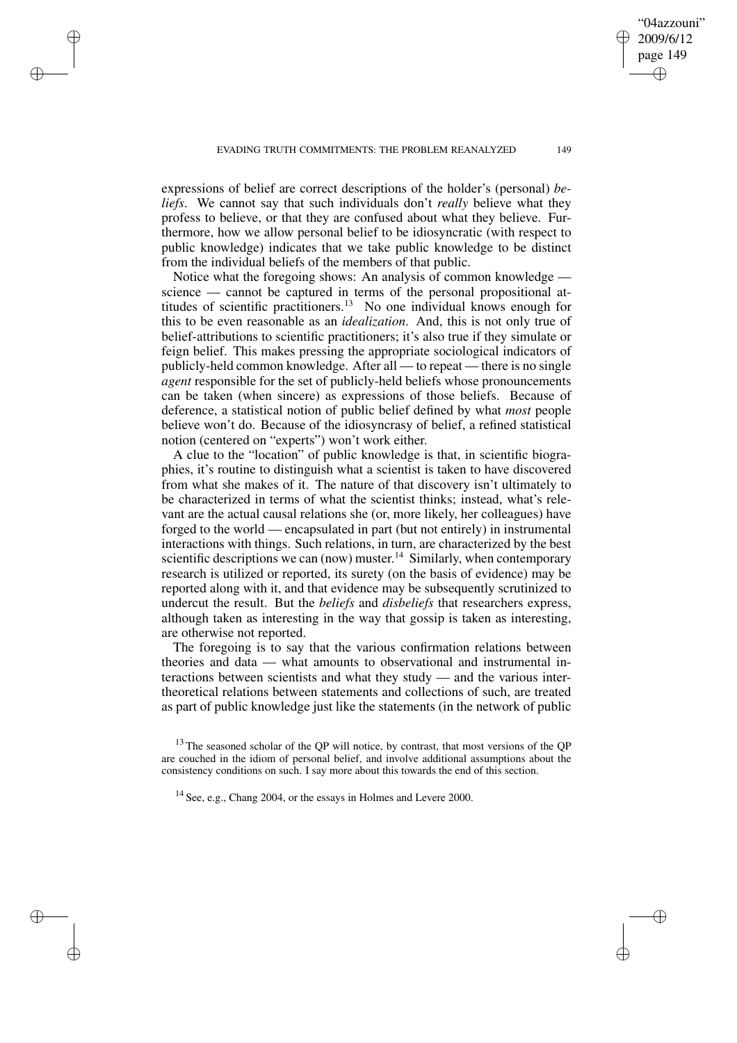✐

✐

✐

✐

expressions of belief are correct descriptions of the holder's (personal) *beliefs*. We cannot say that such individuals don't *really* believe what they profess to believe, or that they are confused about what they believe. Furthermore, how we allow personal belief to be idiosyncratic (with respect to public knowledge) indicates that we take public knowledge to be distinct from the individual beliefs of the members of that public.

Notice what the foregoing shows: An analysis of common knowledge science — cannot be captured in terms of the personal propositional attitudes of scientific practitioners.<sup>13</sup> No one individual knows enough for this to be even reasonable as an *idealization*. And, this is not only true of belief-attributions to scientific practitioners; it's also true if they simulate or feign belief. This makes pressing the appropriate sociological indicators of publicly-held common knowledge. After all — to repeat — there is no single *agent* responsible for the set of publicly-held beliefs whose pronouncements can be taken (when sincere) as expressions of those beliefs. Because of deference, a statistical notion of public belief defined by what *most* people believe won't do. Because of the idiosyncrasy of belief, a refined statistical notion (centered on "experts") won't work either.

A clue to the "location" of public knowledge is that, in scientific biographies, it's routine to distinguish what a scientist is taken to have discovered from what she makes of it. The nature of that discovery isn't ultimately to be characterized in terms of what the scientist thinks; instead, what's relevant are the actual causal relations she (or, more likely, her colleagues) have forged to the world — encapsulated in part (but not entirely) in instrumental interactions with things. Such relations, in turn, are characterized by the best scientific descriptions we can (now) muster.<sup>14</sup> Similarly, when contemporary research is utilized or reported, its surety (on the basis of evidence) may be reported along with it, and that evidence may be subsequently scrutinized to undercut the result. But the *beliefs* and *disbeliefs* that researchers express, although taken as interesting in the way that gossip is taken as interesting, are otherwise not reported.

The foregoing is to say that the various confirmation relations between theories and data — what amounts to observational and instrumental interactions between scientists and what they study — and the various intertheoretical relations between statements and collections of such, are treated as part of public knowledge just like the statements (in the network of public

"04azzouni" 2009/6/12 page 149

✐

✐

✐

 $13$  The seasoned scholar of the QP will notice, by contrast, that most versions of the QP are couched in the idiom of personal belief, and involve additional assumptions about the consistency conditions on such. I say more about this towards the end of this section.

<sup>14</sup> See, e.g., Chang 2004, or the essays in Holmes and Levere 2000.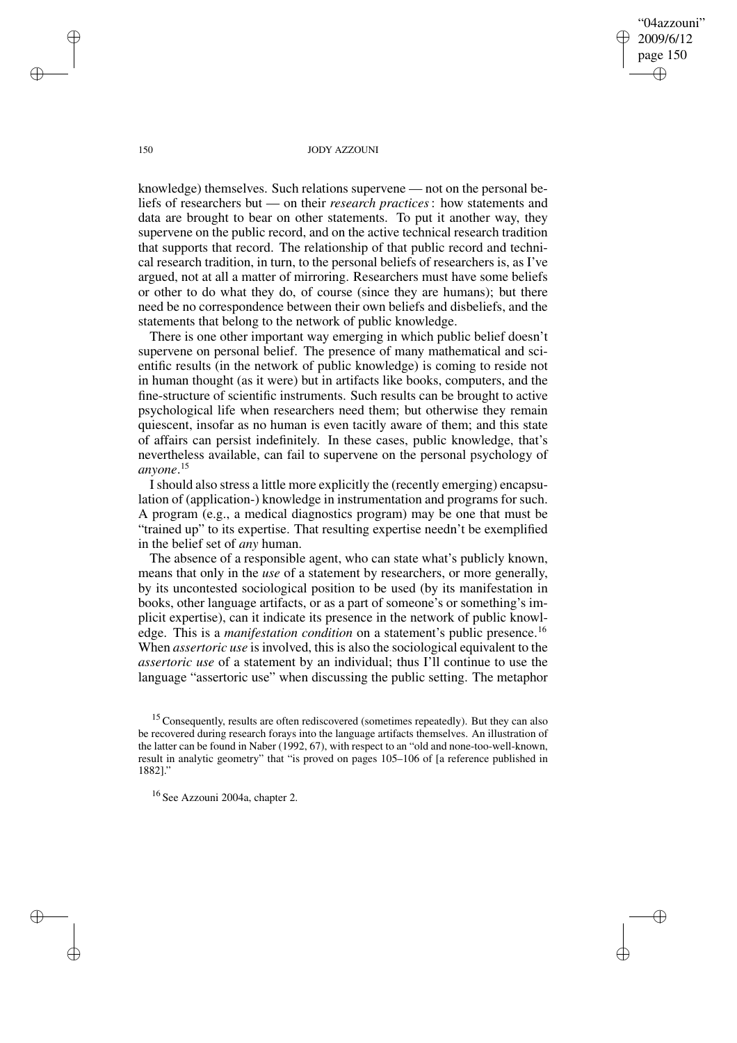"04azzouni" 2009/6/12 page 150 ✐ ✐

✐

✐

## 150 JODY AZZOUNI

knowledge) themselves. Such relations supervene — not on the personal beliefs of researchers but — on their *research practices*: how statements and data are brought to bear on other statements. To put it another way, they supervene on the public record, and on the active technical research tradition that supports that record. The relationship of that public record and technical research tradition, in turn, to the personal beliefs of researchers is, as I've argued, not at all a matter of mirroring. Researchers must have some beliefs or other to do what they do, of course (since they are humans); but there need be no correspondence between their own beliefs and disbeliefs, and the statements that belong to the network of public knowledge.

There is one other important way emerging in which public belief doesn't supervene on personal belief. The presence of many mathematical and scientific results (in the network of public knowledge) is coming to reside not in human thought (as it were) but in artifacts like books, computers, and the fine-structure of scientific instruments. Such results can be brought to active psychological life when researchers need them; but otherwise they remain quiescent, insofar as no human is even tacitly aware of them; and this state of affairs can persist indefinitely. In these cases, public knowledge, that's nevertheless available, can fail to supervene on the personal psychology of *anyone*. 15

I should also stress a little more explicitly the (recently emerging) encapsulation of (application-) knowledge in instrumentation and programs for such. A program (e.g., a medical diagnostics program) may be one that must be "trained up" to its expertise. That resulting expertise needn't be exemplified in the belief set of *any* human.

The absence of a responsible agent, who can state what's publicly known, means that only in the *use* of a statement by researchers, or more generally, by its uncontested sociological position to be used (by its manifestation in books, other language artifacts, or as a part of someone's or something's implicit expertise), can it indicate its presence in the network of public knowledge. This is a *manifestation condition* on a statement's public presence.<sup>16</sup> When *assertoric use* is involved, this is also the sociological equivalent to the *assertoric use* of a statement by an individual; thus I'll continue to use the language "assertoric use" when discussing the public setting. The metaphor

✐

✐

✐

<sup>&</sup>lt;sup>15</sup> Consequently, results are often rediscovered (sometimes repeatedly). But they can also be recovered during research forays into the language artifacts themselves. An illustration of the latter can be found in Naber (1992, 67), with respect to an "old and none-too-well-known, result in analytic geometry" that "is proved on pages 105–106 of [a reference published in 1882]."

<sup>16</sup> See Azzouni 2004a, chapter 2.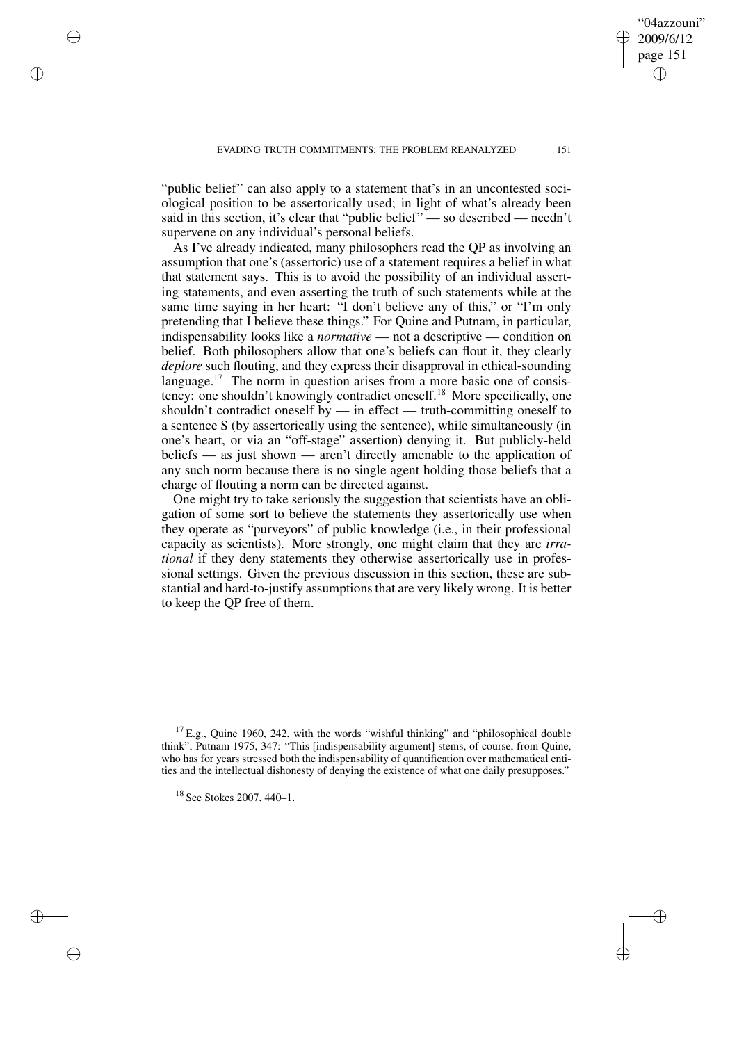"public belief" can also apply to a statement that's in an uncontested sociological position to be assertorically used; in light of what's already been said in this section, it's clear that "public belief" — so described — needn't supervene on any individual's personal beliefs.

As I've already indicated, many philosophers read the QP as involving an assumption that one's (assertoric) use of a statement requires a belief in what that statement says. This is to avoid the possibility of an individual asserting statements, and even asserting the truth of such statements while at the same time saying in her heart: "I don't believe any of this," or "I'm only pretending that I believe these things." For Quine and Putnam, in particular, indispensability looks like a *normative* — not a descriptive — condition on belief. Both philosophers allow that one's beliefs can flout it, they clearly *deplore* such flouting, and they express their disapproval in ethical-sounding language.<sup>17</sup> The norm in question arises from a more basic one of consistency: one shouldn't knowingly contradict oneself.<sup>18</sup> More specifically, one shouldn't contradict oneself by — in effect — truth-committing oneself to a sentence S (by assertorically using the sentence), while simultaneously (in one's heart, or via an "off-stage" assertion) denying it. But publicly-held beliefs — as just shown — aren't directly amenable to the application of any such norm because there is no single agent holding those beliefs that a charge of flouting a norm can be directed against.

One might try to take seriously the suggestion that scientists have an obligation of some sort to believe the statements they assertorically use when they operate as "purveyors" of public knowledge (i.e., in their professional capacity as scientists). More strongly, one might claim that they are *irrational* if they deny statements they otherwise assertorically use in professional settings. Given the previous discussion in this section, these are substantial and hard-to-justify assumptionsthat are very likely wrong. It is better to keep the QP free of them.

✐

✐

✐

✐

"04azzouni" 2009/6/12 page 151

✐

✐

✐

 $^{17}$  E.g., Quine 1960, 242, with the words "wishful thinking" and "philosophical double think"; Putnam 1975, 347: "This [indispensability argument] stems, of course, from Quine, who has for years stressed both the indispensability of quantification over mathematical entities and the intellectual dishonesty of denying the existence of what one daily presupposes."

<sup>18</sup> See Stokes 2007, 440–1.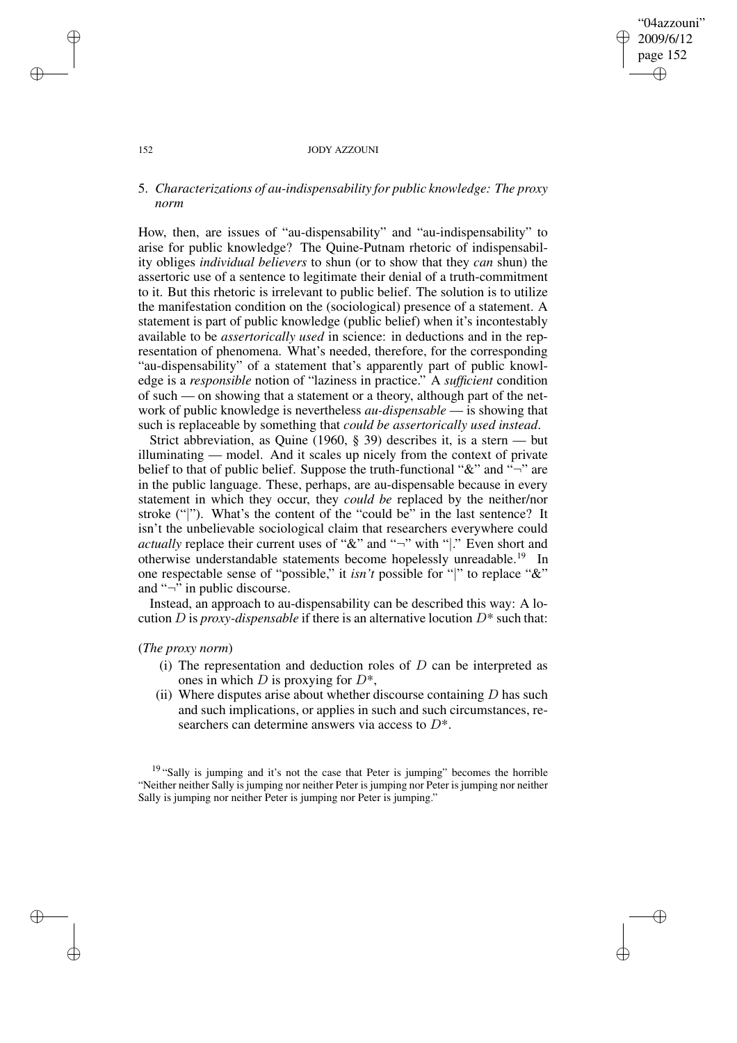# "04azzouni" 2009/6/12 page 152 ✐ ✐

✐

✐

## 152 JODY AZZOUNI

# 5. *Characterizations of au-indispensability for public knowledge: The proxy norm*

How, then, are issues of "au-dispensability" and "au-indispensability" to arise for public knowledge? The Quine-Putnam rhetoric of indispensability obliges *individual believers* to shun (or to show that they *can* shun) the assertoric use of a sentence to legitimate their denial of a truth-commitment to it. But this rhetoric is irrelevant to public belief. The solution is to utilize the manifestation condition on the (sociological) presence of a statement. A statement is part of public knowledge (public belief) when it's incontestably available to be *assertorically used* in science: in deductions and in the representation of phenomena. What's needed, therefore, for the corresponding "au-dispensability" of a statement that's apparently part of public knowledge is a *responsible* notion of "laziness in practice." A *sufficient* condition of such — on showing that a statement or a theory, although part of the network of public knowledge is nevertheless *au-dispensable* — is showing that such is replaceable by something that *could be assertorically used instead*.

Strict abbreviation, as Quine (1960, § 39) describes it, is a stern — but illuminating — model. And it scales up nicely from the context of private belief to that of public belief. Suppose the truth-functional " $\&$ " and " $\neg$ " are in the public language. These, perhaps, are au-dispensable because in every statement in which they occur, they *could be* replaced by the neither/nor stroke ("|"). What's the content of the "could be" in the last sentence? It isn't the unbelievable sociological claim that researchers everywhere could *actually* replace their current uses of "&" and "¬" with "|." Even short and otherwise understandable statements become hopelessly unreadable.<sup>19</sup> In one respectable sense of "possible," it *isn't* possible for "|" to replace "&" and "¬" in public discourse.

Instead, an approach to au-dispensability can be described this way: A locution D is *proxy-dispensable* if there is an alternative locution  $D^*$  such that:

# (*The proxy norm*)

- (i) The representation and deduction roles of  $D$  can be interpreted as ones in which D is proxying for  $D^*$ ,
- (ii) Where disputes arise about whether discourse containing  $D$  has such and such implications, or applies in such and such circumstances, researchers can determine answers via access to  $D^*$ .

<sup>19</sup> "Sally is jumping and it's not the case that Peter is jumping" becomes the horrible "Neither neither Sally is jumping nor neither Peter is jumping nor Peter is jumping nor neither Sally is jumping nor neither Peter is jumping nor Peter is jumping."

✐

✐

✐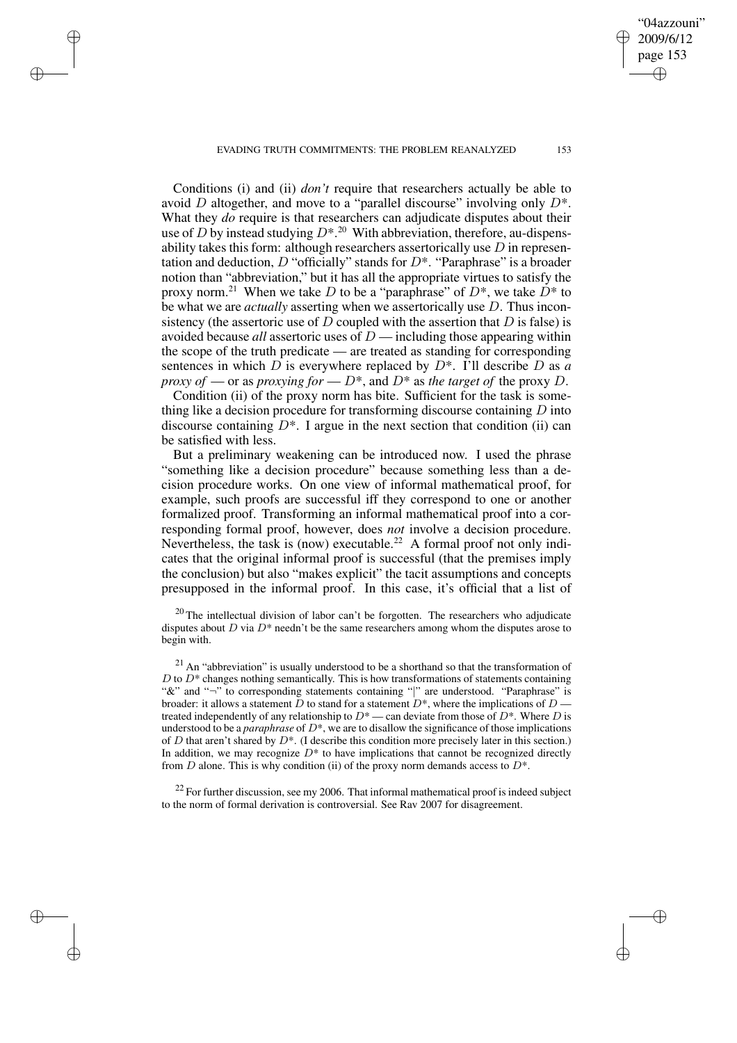EVADING TRUTH COMMITMENTS: THE PROBLEM REANALYZED 153

✐

✐

✐

✐

"04azzouni" 2009/6/12 page 153

✐

✐

✐

✐

Conditions (i) and (ii) *don't* require that researchers actually be able to avoid D altogether, and move to a "parallel discourse" involving only  $D^*$ . What they *do* require is that researchers can adjudicate disputes about their use of D by instead studying  $D^{*}$ .<sup>20</sup> With abbreviation, therefore, au-dispensability takes this form: although researchers assertorically use  $D$  in representation and deduction,  $D$  "officially" stands for  $D^*$ . "Paraphrase" is a broader notion than "abbreviation," but it has all the appropriate virtues to satisfy the proxy norm.<sup>21</sup> When we take D to be a "paraphrase" of  $D^*$ , we take  $D^*$  to be what we are *actually* asserting when we assertorically use D. Thus inconsistency (the assertoric use of  $D$  coupled with the assertion that  $D$  is false) is avoided because *all* assertoric uses of D — including those appearing within the scope of the truth predicate — are treated as standing for corresponding sentences in which D is everywhere replaced by D\*. I'll describe D as *a proxy of* — or as *proxying for* —  $D^*$ , and  $D^*$  as *the target of* the proxy D.

Condition (ii) of the proxy norm has bite. Sufficient for the task is something like a decision procedure for transforming discourse containing  $D$  into discourse containing  $D^*$ . I argue in the next section that condition (ii) can be satisfied with less.

But a preliminary weakening can be introduced now. I used the phrase "something like a decision procedure" because something less than a decision procedure works. On one view of informal mathematical proof, for example, such proofs are successful iff they correspond to one or another formalized proof. Transforming an informal mathematical proof into a corresponding formal proof, however, does *not* involve a decision procedure. Nevertheless, the task is (now) executable.<sup>22</sup> A formal proof not only indicates that the original informal proof is successful (that the premises imply the conclusion) but also "makes explicit" the tacit assumptions and concepts presupposed in the informal proof. In this case, it's official that a list of

 $20$  The intellectual division of labor can't be forgotten. The researchers who adjudicate disputes about  $D$  via  $D^*$  needn't be the same researchers among whom the disputes arose to begin with.

 $21$  An "abbreviation" is usually understood to be a shorthand so that the transformation of  $D$  to  $D^*$  changes nothing semantically. This is how transformations of statements containing "&" and "¬" to corresponding statements containing "|" are understood. "Paraphrase" is broader: it allows a statement  $\overline{D}$  to stand for a statement  $D^*$ , where the implications of  $D$  treated independently of any relationship to  $D^*$  — can deviate from those of  $D^*$ . Where D is understood to be a *paraphrase* of D\*, we are to disallow the significance of those implications of D that aren't shared by  $D^*$ . (I describe this condition more precisely later in this section.) In addition, we may recognize  $D^*$  to have implications that cannot be recognized directly from  $D$  alone. This is why condition (ii) of the proxy norm demands access to  $D^*$ .

 $22$  For further discussion, see my 2006. That informal mathematical proof is indeed subject to the norm of formal derivation is controversial. See Rav 2007 for disagreement.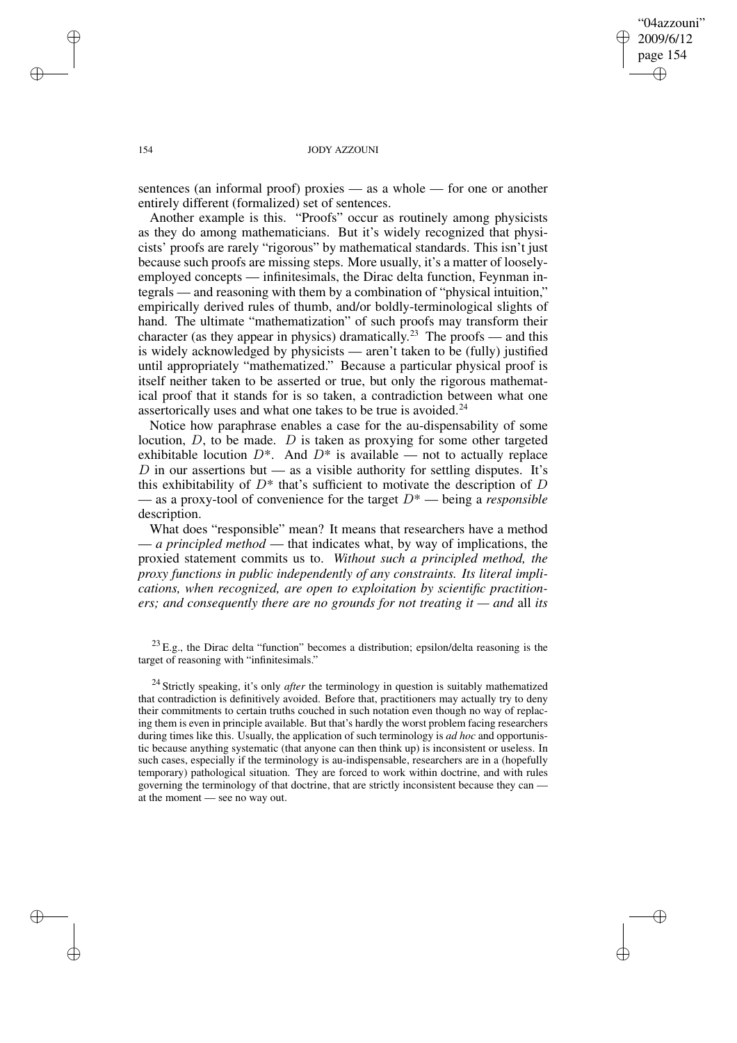"04azzouni" 2009/6/12 page 154 ✐ ✐

✐

✐

## 154 JODY AZZOUNI

sentences (an informal proof) proxies — as a whole — for one or another entirely different (formalized) set of sentences.

Another example is this. "Proofs" occur as routinely among physicists as they do among mathematicians. But it's widely recognized that physicists' proofs are rarely "rigorous" by mathematical standards. This isn't just because such proofs are missing steps. More usually, it's a matter of looselyemployed concepts — infinitesimals, the Dirac delta function, Feynman integrals — and reasoning with them by a combination of "physical intuition," empirically derived rules of thumb, and/or boldly-terminological slights of hand. The ultimate "mathematization" of such proofs may transform their character (as they appear in physics) dramatically.<sup>23</sup> The proofs — and this is widely acknowledged by physicists — aren't taken to be (fully) justified until appropriately "mathematized." Because a particular physical proof is itself neither taken to be asserted or true, but only the rigorous mathematical proof that it stands for is so taken, a contradiction between what one assertorically uses and what one takes to be true is avoided.<sup>24</sup>

Notice how paraphrase enables a case for the au-dispensability of some locution,  $D$ , to be made.  $D$  is taken as proxying for some other targeted exhibitable locution  $D^*$ . And  $D^*$  is available — not to actually replace  $D$  in our assertions but — as a visible authority for settling disputes. It's this exhibitability of  $D^*$  that's sufficient to motivate the description of  $D$ — as a proxy-tool of convenience for the target D\* — being a *responsible* description.

What does "responsible" mean? It means that researchers have a method — *a principled method* — that indicates what, by way of implications, the proxied statement commits us to. *Without such a principled method, the proxy functions in public independently of any constraints. Its literal implications, when recognized, are open to exploitation by scientific practitioners; and consequently there are no grounds for not treating it — and* all *its*

 $^{23}$  E.g., the Dirac delta "function" becomes a distribution; epsilon/delta reasoning is the target of reasoning with "infinitesimals."

<sup>24</sup> Strictly speaking, it's only *after* the terminology in question is suitably mathematized that contradiction is definitively avoided. Before that, practitioners may actually try to deny their commitments to certain truths couched in such notation even though no way of replacing them is even in principle available. But that's hardly the worst problem facing researchers during times like this. Usually, the application of such terminology is *ad hoc* and opportunistic because anything systematic (that anyone can then think up) is inconsistent or useless. In such cases, especially if the terminology is au-indispensable, researchers are in a (hopefully temporary) pathological situation. They are forced to work within doctrine, and with rules governing the terminology of that doctrine, that are strictly inconsistent because they can at the moment — see no way out.

✐

✐

✐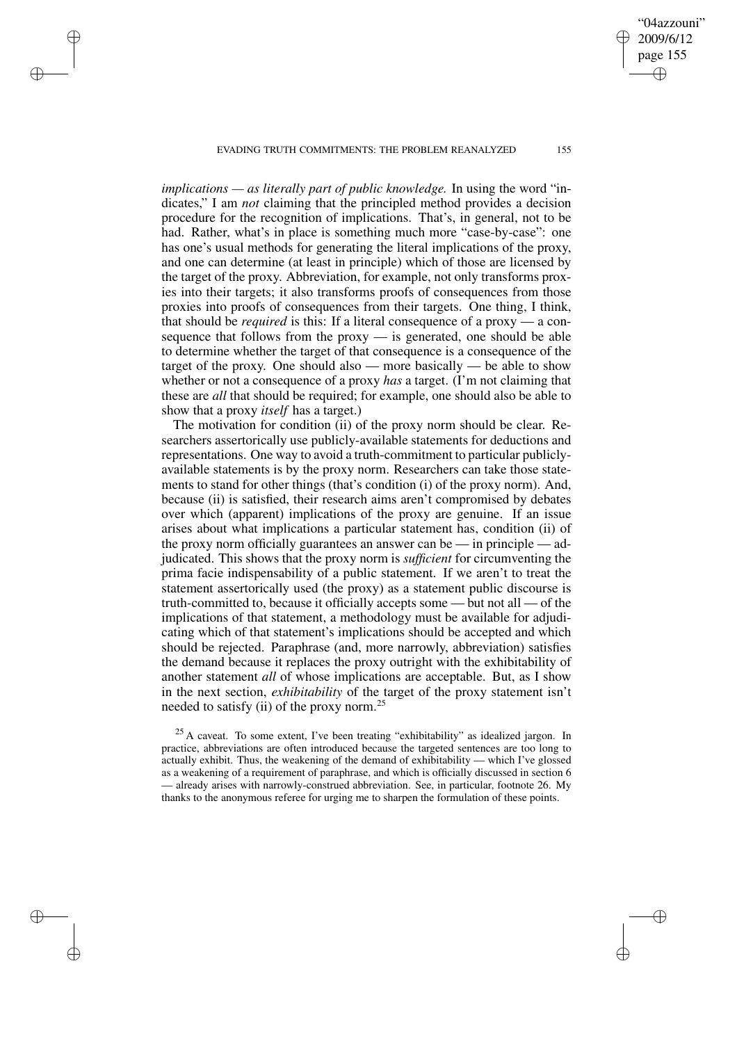EVADING TRUTH COMMITMENTS: THE PROBLEM REANALYZED 155

✐

✐

✐

✐

"04azzouni" 2009/6/12 page 155

✐

✐

✐

✐

*implications — as literally part of public knowledge.* In using the word "indicates," I am *not* claiming that the principled method provides a decision procedure for the recognition of implications. That's, in general, not to be had. Rather, what's in place is something much more "case-by-case": one has one's usual methods for generating the literal implications of the proxy, and one can determine (at least in principle) which of those are licensed by the target of the proxy. Abbreviation, for example, not only transforms proxies into their targets; it also transforms proofs of consequences from those proxies into proofs of consequences from their targets. One thing, I think, that should be *required* is this: If a literal consequence of a proxy — a consequence that follows from the proxy  $\frac{1}{1}$  is generated, one should be able to determine whether the target of that consequence is a consequence of the target of the proxy. One should also — more basically — be able to show whether or not a consequence of a proxy *has* a target. (I'm not claiming that these are *all* that should be required; for example, one should also be able to show that a proxy *itself* has a target.)

The motivation for condition (ii) of the proxy norm should be clear. Researchers assertorically use publicly-available statements for deductions and representations. One way to avoid a truth-commitment to particular publiclyavailable statements is by the proxy norm. Researchers can take those statements to stand for other things (that's condition (i) of the proxy norm). And, because (ii) is satisfied, their research aims aren't compromised by debates over which (apparent) implications of the proxy are genuine. If an issue arises about what implications a particular statement has, condition (ii) of the proxy norm officially guarantees an answer can be — in principle — adjudicated. This shows that the proxy norm is *sufficient* for circumventing the prima facie indispensability of a public statement. If we aren't to treat the statement assertorically used (the proxy) as a statement public discourse is truth-committed to, because it officially accepts some — but not all — of the implications of that statement, a methodology must be available for adjudicating which of that statement's implications should be accepted and which should be rejected. Paraphrase (and, more narrowly, abbreviation) satisfies the demand because it replaces the proxy outright with the exhibitability of another statement *all* of whose implications are acceptable. But, as I show in the next section, *exhibitability* of the target of the proxy statement isn't needed to satisfy (ii) of the proxy norm.<sup>25</sup>

 $25$  A caveat. To some extent, I've been treating "exhibitability" as idealized jargon. In practice, abbreviations are often introduced because the targeted sentences are too long to actually exhibit. Thus, the weakening of the demand of exhibitability — which I've glossed as a weakening of a requirement of paraphrase, and which is officially discussed in section 6 — already arises with narrowly-construed abbreviation. See, in particular, footnote 26. My thanks to the anonymous referee for urging me to sharpen the formulation of these points.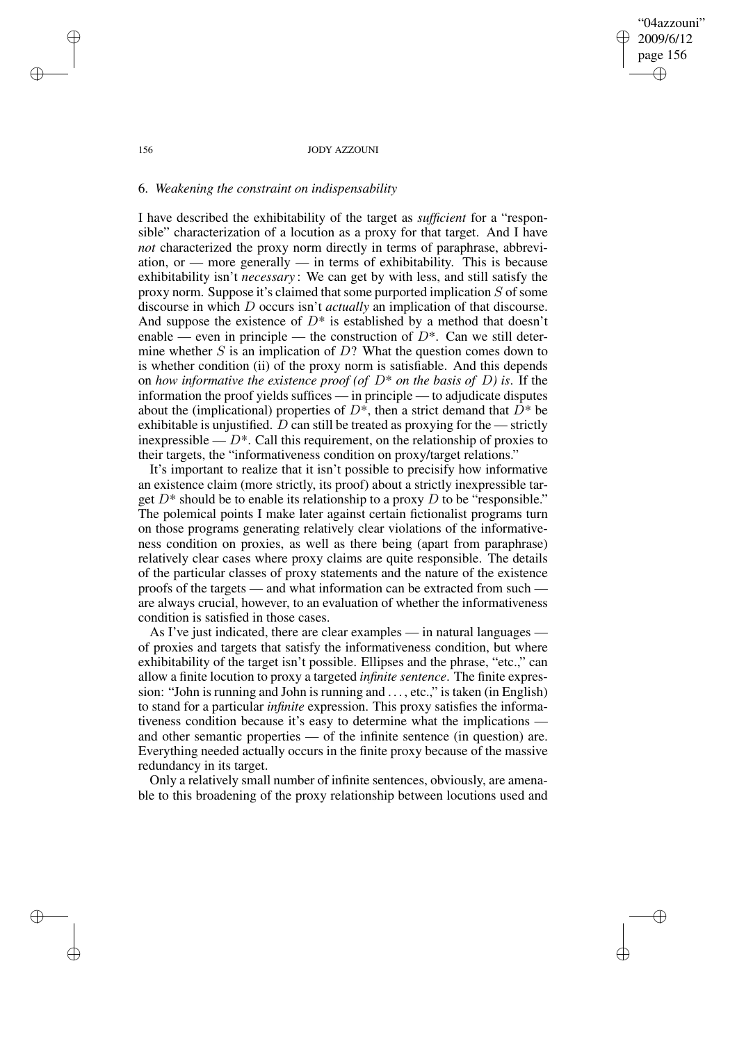"04azzouni" 2009/6/12 page 156 ✐ ✐

✐

✐

#### 156 JODY AZZOUNI

## 6. *Weakening the constraint on indispensability*

I have described the exhibitability of the target as *sufficient* for a "responsible" characterization of a locution as a proxy for that target. And I have *not* characterized the proxy norm directly in terms of paraphrase, abbreviation, or — more generally — in terms of exhibitability. This is because exhibitability isn't *necessary* : We can get by with less, and still satisfy the proxy norm. Suppose it's claimed that some purported implication  $S$  of some discourse in which D occurs isn't *actually* an implication of that discourse. And suppose the existence of  $D^*$  is established by a method that doesn't enable — even in principle — the construction of  $D^*$ . Can we still determine whether  $S$  is an implication of  $D$ ? What the question comes down to is whether condition (ii) of the proxy norm is satisfiable. And this depends on *how informative the existence proof* (*of*  $D^*$  *on the basis of*  $D$ ) *is.* If the information the proof yields suffices — in principle — to adjudicate disputes about the (implicational) properties of  $D^*$ , then a strict demand that  $D^*$  be exhibitable is unjustified.  $D$  can still be treated as proxying for the — strictly inexpressible —  $D^*$ . Call this requirement, on the relationship of proxies to their targets, the "informativeness condition on proxy/target relations."

It's important to realize that it isn't possible to precisify how informative an existence claim (more strictly, its proof) about a strictly inexpressible target  $D^*$  should be to enable its relationship to a proxy D to be "responsible." The polemical points I make later against certain fictionalist programs turn on those programs generating relatively clear violations of the informativeness condition on proxies, as well as there being (apart from paraphrase) relatively clear cases where proxy claims are quite responsible. The details of the particular classes of proxy statements and the nature of the existence proofs of the targets — and what information can be extracted from such are always crucial, however, to an evaluation of whether the informativeness condition is satisfied in those cases.

As I've just indicated, there are clear examples — in natural languages of proxies and targets that satisfy the informativeness condition, but where exhibitability of the target isn't possible. Ellipses and the phrase, "etc.," can allow a finite locution to proxy a targeted *infinite sentence*. The finite expression: "John is running and John is running and . . . , etc.," is taken (in English) to stand for a particular *infinite* expression. This proxy satisfies the informativeness condition because it's easy to determine what the implications and other semantic properties — of the infinite sentence (in question) are. Everything needed actually occurs in the finite proxy because of the massive redundancy in its target.

Only a relatively small number of infinite sentences, obviously, are amenable to this broadening of the proxy relationship between locutions used and

✐

✐

✐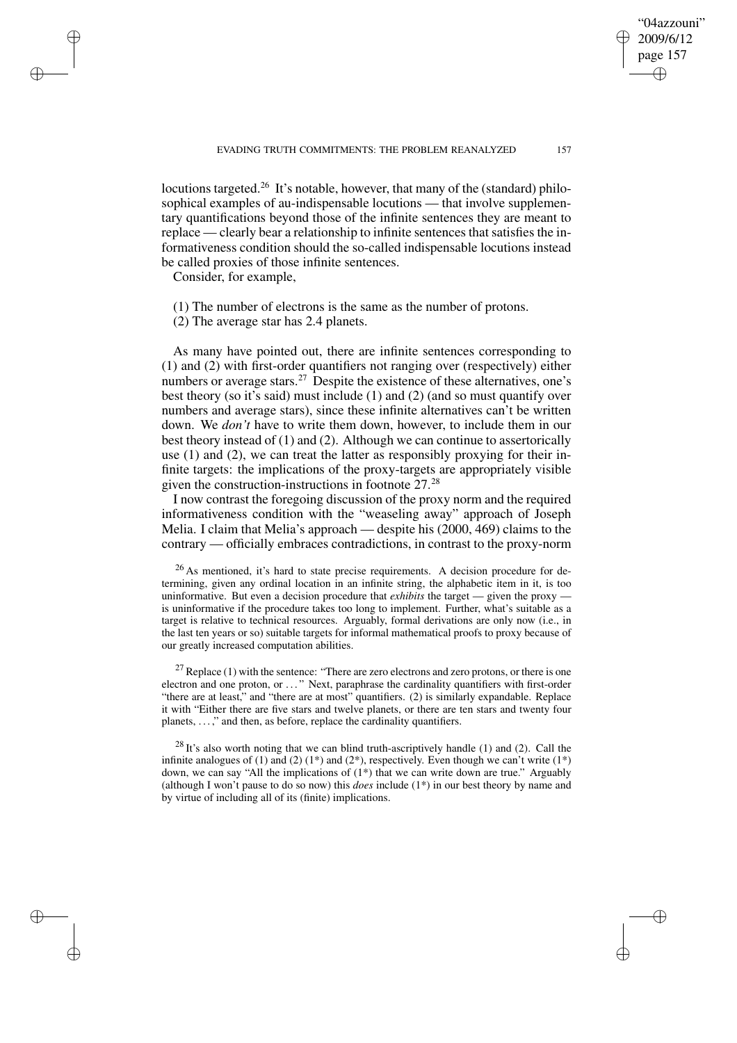locutions targeted.<sup>26</sup> It's notable, however, that many of the (standard) philosophical examples of au-indispensable locutions — that involve supplementary quantifications beyond those of the infinite sentences they are meant to replace — clearly bear a relationship to infinite sentences that satisfies the informativeness condition should the so-called indispensable locutions instead be called proxies of those infinite sentences.

Consider, for example,

✐

✐

✐

✐

(1) The number of electrons is the same as the number of protons.

(2) The average star has 2.4 planets.

As many have pointed out, there are infinite sentences corresponding to (1) and (2) with first-order quantifiers not ranging over (respectively) either numbers or average stars.<sup>27</sup> Despite the existence of these alternatives, one's best theory (so it's said) must include (1) and (2) (and so must quantify over numbers and average stars), since these infinite alternatives can't be written down. We *don't* have to write them down, however, to include them in our best theory instead of (1) and (2). Although we can continue to assertorically use (1) and (2), we can treat the latter as responsibly proxying for their infinite targets: the implications of the proxy-targets are appropriately visible given the construction-instructions in footnote 27.<sup>28</sup>

I now contrast the foregoing discussion of the proxy norm and the required informativeness condition with the "weaseling away" approach of Joseph Melia. I claim that Melia's approach — despite his (2000, 469) claims to the contrary — officially embraces contradictions, in contrast to the proxy-norm

<sup>26</sup> As mentioned, it's hard to state precise requirements. A decision procedure for determining, given any ordinal location in an infinite string, the alphabetic item in it, is too uninformative. But even a decision procedure that *exhibits* the target — given the proxy is uninformative if the procedure takes too long to implement. Further, what's suitable as a target is relative to technical resources. Arguably, formal derivations are only now (i.e., in the last ten years or so) suitable targets for informal mathematical proofs to proxy because of our greatly increased computation abilities.

 $27$  Replace (1) with the sentence: "There are zero electrons and zero protons, or there is one electron and one proton, or . . . " Next, paraphrase the cardinality quantifiers with first-order "there are at least," and "there are at most" quantifiers. (2) is similarly expandable. Replace it with "Either there are five stars and twelve planets, or there are ten stars and twenty four planets, . . . ," and then, as before, replace the cardinality quantifiers.

 $^{28}$  It's also worth noting that we can blind truth-ascriptively handle (1) and (2). Call the infinite analogues of (1) and (2) (1\*) and (2\*), respectively. Even though we can't write (1\*) down, we can say "All the implications of (1\*) that we can write down are true." Arguably (although I won't pause to do so now) this *does* include (1\*) in our best theory by name and by virtue of including all of its (finite) implications.

"04azzouni" 2009/6/12 page 157

✐

✐

✐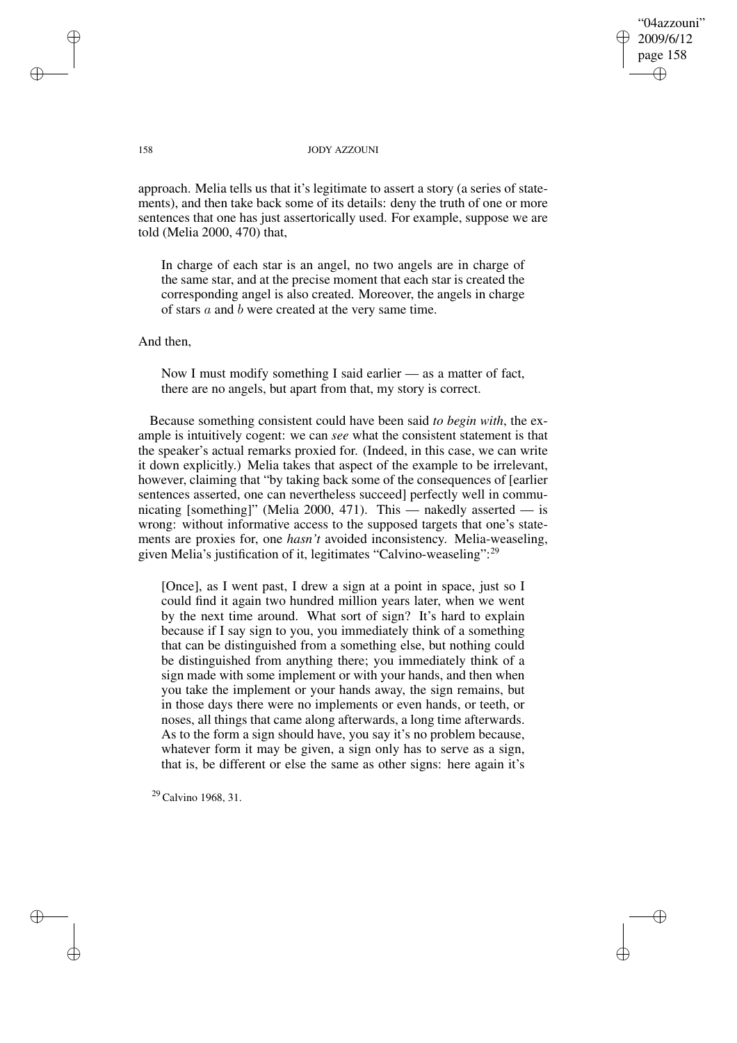"04azzouni" 2009/6/12 page 158 ✐ ✐

✐

✐

## 158 JODY AZZOUNI

approach. Melia tells us that it's legitimate to assert a story (a series of statements), and then take back some of its details: deny the truth of one or more sentences that one has just assertorically used. For example, suppose we are told (Melia 2000, 470) that,

In charge of each star is an angel, no two angels are in charge of the same star, and at the precise moment that each star is created the corresponding angel is also created. Moreover, the angels in charge of stars a and b were created at the very same time.

And then,

Now I must modify something I said earlier — as a matter of fact, there are no angels, but apart from that, my story is correct.

Because something consistent could have been said *to begin with*, the example is intuitively cogent: we can *see* what the consistent statement is that the speaker's actual remarks proxied for. (Indeed, in this case, we can write it down explicitly.) Melia takes that aspect of the example to be irrelevant, however, claiming that "by taking back some of the consequences of [earlier sentences asserted, one can nevertheless succeed] perfectly well in communicating [something]" (Melia 2000, 471). This — nakedly asserted — is wrong: without informative access to the supposed targets that one's statements are proxies for, one *hasn't* avoided inconsistency. Melia-weaseling, given Melia's justification of it, legitimates "Calvino-weaseling":<sup>29</sup>

[Once], as I went past, I drew a sign at a point in space, just so I could find it again two hundred million years later, when we went by the next time around. What sort of sign? It's hard to explain because if I say sign to you, you immediately think of a something that can be distinguished from a something else, but nothing could be distinguished from anything there; you immediately think of a sign made with some implement or with your hands, and then when you take the implement or your hands away, the sign remains, but in those days there were no implements or even hands, or teeth, or noses, all things that came along afterwards, a long time afterwards. As to the form a sign should have, you say it's no problem because, whatever form it may be given, a sign only has to serve as a sign, that is, be different or else the same as other signs: here again it's

<sup>29</sup> Calvino 1968, 31.

✐

✐

✐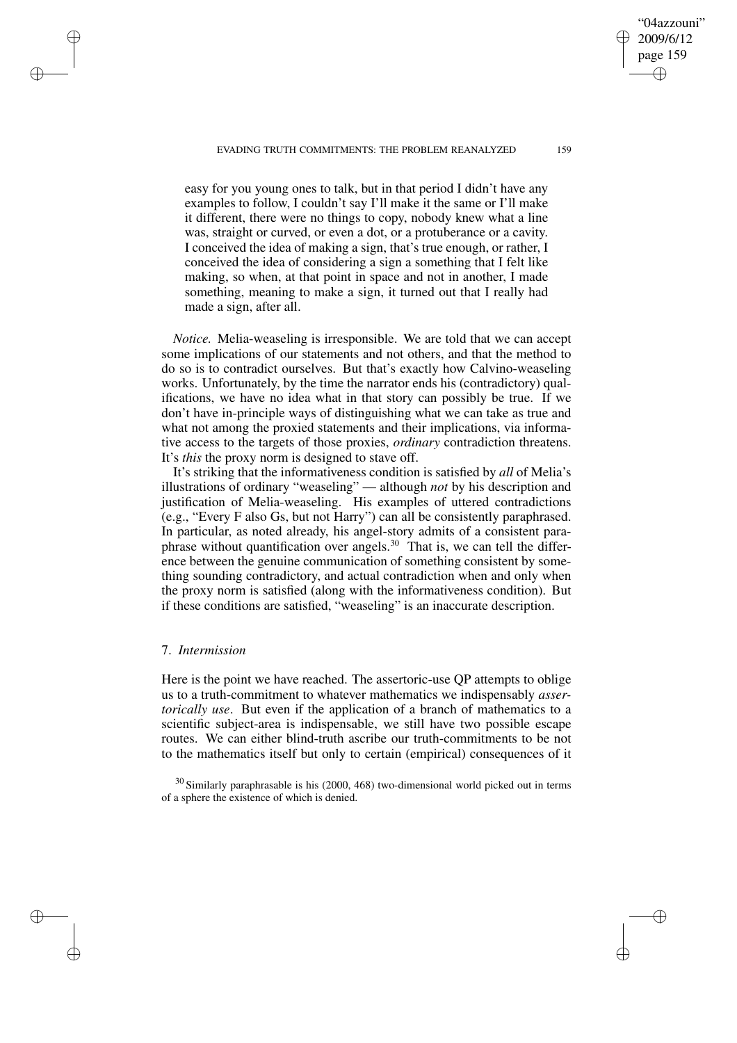EVADING TRUTH COMMITMENTS: THE PROBLEM REANALYZED 159

easy for you young ones to talk, but in that period I didn't have any examples to follow, I couldn't say I'll make it the same or I'll make it different, there were no things to copy, nobody knew what a line was, straight or curved, or even a dot, or a protuberance or a cavity. I conceived the idea of making a sign, that's true enough, or rather, I conceived the idea of considering a sign a something that I felt like making, so when, at that point in space and not in another, I made something, meaning to make a sign, it turned out that I really had made a sign, after all.

*Notice.* Melia-weaseling is irresponsible. We are told that we can accept some implications of our statements and not others, and that the method to do so is to contradict ourselves. But that's exactly how Calvino-weaseling works. Unfortunately, by the time the narrator ends his (contradictory) qualifications, we have no idea what in that story can possibly be true. If we don't have in-principle ways of distinguishing what we can take as true and what not among the proxied statements and their implications, via informative access to the targets of those proxies, *ordinary* contradiction threatens. It's *this* the proxy norm is designed to stave off.

It's striking that the informativeness condition is satisfied by *all* of Melia's illustrations of ordinary "weaseling" — although *not* by his description and justification of Melia-weaseling. His examples of uttered contradictions (e.g., "Every F also Gs, but not Harry") can all be consistently paraphrased. In particular, as noted already, his angel-story admits of a consistent paraphrase without quantification over angels.<sup>30</sup> That is, we can tell the difference between the genuine communication of something consistent by something sounding contradictory, and actual contradiction when and only when the proxy norm is satisfied (along with the informativeness condition). But if these conditions are satisfied, "weaseling" is an inaccurate description.

## 7. *Intermission*

✐

✐

✐

✐

Here is the point we have reached. The assertoric-use QP attempts to oblige us to a truth-commitment to whatever mathematics we indispensably *assertorically use*. But even if the application of a branch of mathematics to a scientific subject-area is indispensable, we still have two possible escape routes. We can either blind-truth ascribe our truth-commitments to be not to the mathematics itself but only to certain (empirical) consequences of it

<sup>30</sup> Similarly paraphrasable is his (2000, 468) two-dimensional world picked out in terms of a sphere the existence of which is denied.

"04azzouni" 2009/6/12 page 159

✐

✐

✐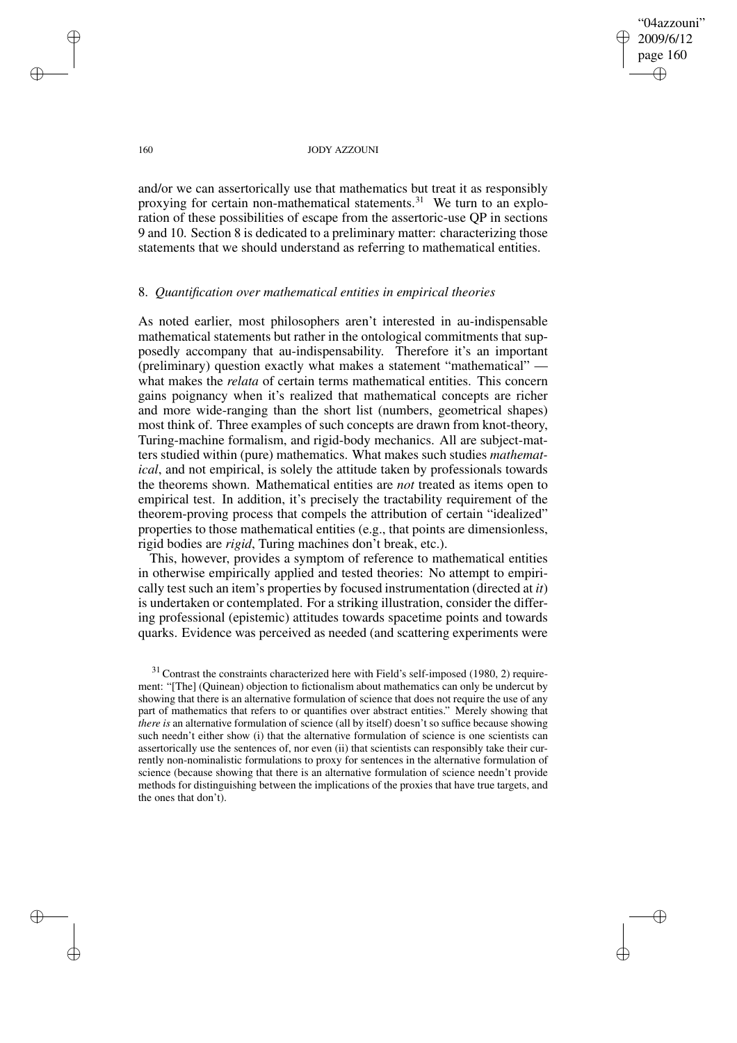# "04azzouni" 2009/6/12 page 160 ✐ ✐

✐

✐

## 160 JODY AZZOUNI

and/or we can assertorically use that mathematics but treat it as responsibly proxying for certain non-mathematical statements.<sup>31</sup> We turn to an exploration of these possibilities of escape from the assertoric-use QP in sections 9 and 10. Section 8 is dedicated to a preliminary matter: characterizing those statements that we should understand as referring to mathematical entities.

## 8. *Quantification over mathematical entities in empirical theories*

As noted earlier, most philosophers aren't interested in au-indispensable mathematical statements but rather in the ontological commitments that supposedly accompany that au-indispensability. Therefore it's an important (preliminary) question exactly what makes a statement "mathematical" what makes the *relata* of certain terms mathematical entities. This concern gains poignancy when it's realized that mathematical concepts are richer and more wide-ranging than the short list (numbers, geometrical shapes) most think of. Three examples of such concepts are drawn from knot-theory, Turing-machine formalism, and rigid-body mechanics. All are subject-matters studied within (pure) mathematics. What makes such studies *mathematical*, and not empirical, is solely the attitude taken by professionals towards the theorems shown. Mathematical entities are *not* treated as items open to empirical test. In addition, it's precisely the tractability requirement of the theorem-proving process that compels the attribution of certain "idealized" properties to those mathematical entities (e.g., that points are dimensionless, rigid bodies are *rigid*, Turing machines don't break, etc.).

This, however, provides a symptom of reference to mathematical entities in otherwise empirically applied and tested theories: No attempt to empirically test such an item's properties by focused instrumentation (directed at *it*) is undertaken or contemplated. For a striking illustration, consider the differing professional (epistemic) attitudes towards spacetime points and towards quarks. Evidence was perceived as needed (and scattering experiments were

✐

✐

✐

 $31$  Contrast the constraints characterized here with Field's self-imposed (1980, 2) requirement: "[The] (Quinean) objection to fictionalism about mathematics can only be undercut by showing that there is an alternative formulation of science that does not require the use of any part of mathematics that refers to or quantifies over abstract entities." Merely showing that *there is* an alternative formulation of science (all by itself) doesn't so suffice because showing such needn't either show (i) that the alternative formulation of science is one scientists can assertorically use the sentences of, nor even (ii) that scientists can responsibly take their currently non-nominalistic formulations to proxy for sentences in the alternative formulation of science (because showing that there is an alternative formulation of science needn't provide methods for distinguishing between the implications of the proxies that have true targets, and the ones that don't).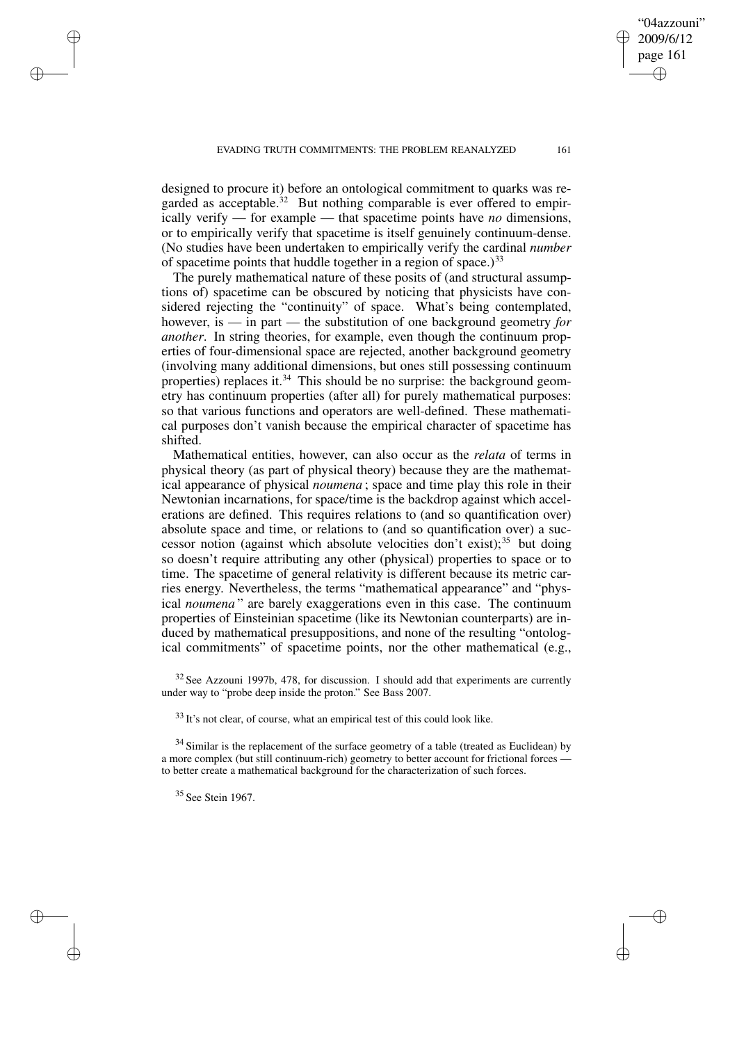designed to procure it) before an ontological commitment to quarks was regarded as acceptable.<sup>32</sup> But nothing comparable is ever offered to empirically verify — for example — that spacetime points have *no* dimensions, or to empirically verify that spacetime is itself genuinely continuum-dense. (No studies have been undertaken to empirically verify the cardinal *number* of spacetime points that huddle together in a region of space.) $33$ 

The purely mathematical nature of these posits of (and structural assumptions of) spacetime can be obscured by noticing that physicists have considered rejecting the "continuity" of space. What's being contemplated, however, is — in part — the substitution of one background geometry *for another*. In string theories, for example, even though the continuum properties of four-dimensional space are rejected, another background geometry (involving many additional dimensions, but ones still possessing continuum properties) replaces it.<sup>34</sup> This should be no surprise: the background geometry has continuum properties (after all) for purely mathematical purposes: so that various functions and operators are well-defined. These mathematical purposes don't vanish because the empirical character of spacetime has shifted.

Mathematical entities, however, can also occur as the *relata* of terms in physical theory (as part of physical theory) because they are the mathematical appearance of physical *noumena* ; space and time play this role in their Newtonian incarnations, for space/time is the backdrop against which accelerations are defined. This requires relations to (and so quantification over) absolute space and time, or relations to (and so quantification over) a successor notion (against which absolute velocities don't exist);<sup>35</sup> but doing so doesn't require attributing any other (physical) properties to space or to time. The spacetime of general relativity is different because its metric carries energy. Nevertheless, the terms "mathematical appearance" and "physical *noumena* " are barely exaggerations even in this case. The continuum properties of Einsteinian spacetime (like its Newtonian counterparts) are induced by mathematical presuppositions, and none of the resulting "ontological commitments" of spacetime points, nor the other mathematical (e.g.,

<sup>32</sup> See Azzouni 1997b, 478, for discussion. I should add that experiments are currently under way to "probe deep inside the proton." See Bass 2007.

 $33$  It's not clear, of course, what an empirical test of this could look like.

 $34$  Similar is the replacement of the surface geometry of a table (treated as Euclidean) by a more complex (but still continuum-rich) geometry to better account for frictional forces to better create a mathematical background for the characterization of such forces.

<sup>35</sup> See Stein 1967.

✐

✐

✐

✐

"04azzouni" 2009/6/12 page 161

✐

✐

✐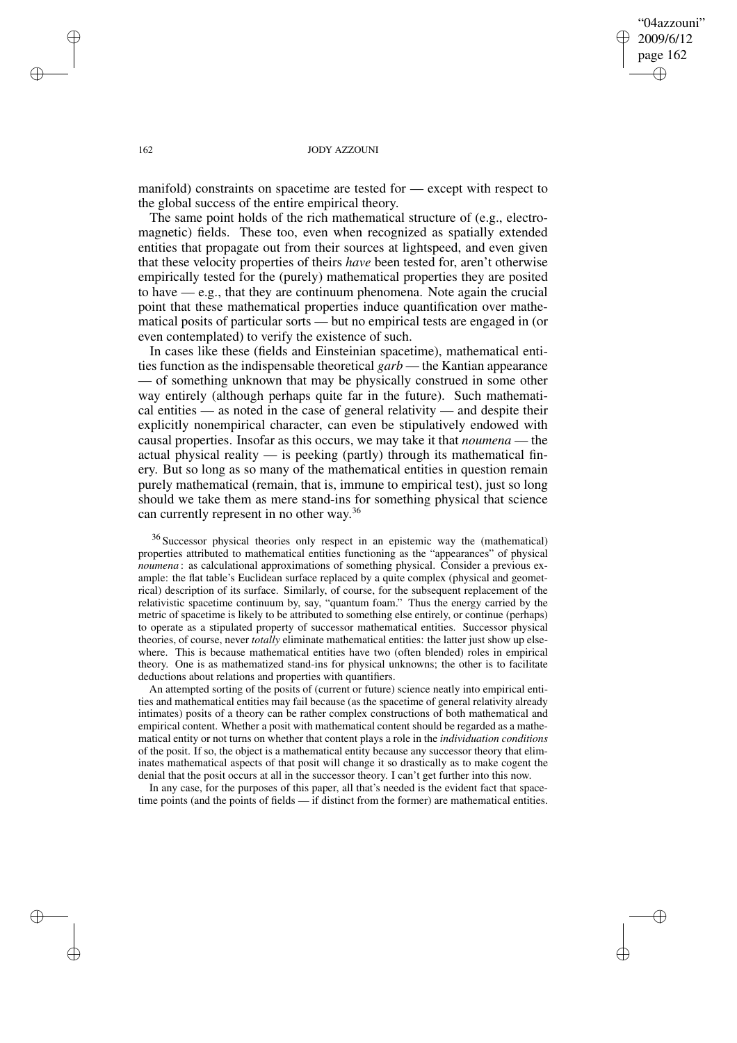"04azzouni" 2009/6/12 page 162 ✐ ✐

✐

✐

## 162 JODY AZZOUNI

manifold) constraints on spacetime are tested for — except with respect to the global success of the entire empirical theory.

The same point holds of the rich mathematical structure of (e.g., electromagnetic) fields. These too, even when recognized as spatially extended entities that propagate out from their sources at lightspeed, and even given that these velocity properties of theirs *have* been tested for, aren't otherwise empirically tested for the (purely) mathematical properties they are posited to have — e.g., that they are continuum phenomena. Note again the crucial point that these mathematical properties induce quantification over mathematical posits of particular sorts — but no empirical tests are engaged in (or even contemplated) to verify the existence of such.

In cases like these (fields and Einsteinian spacetime), mathematical entities function as the indispensable theoretical *garb* — the Kantian appearance — of something unknown that may be physically construed in some other way entirely (although perhaps quite far in the future). Such mathematical entities — as noted in the case of general relativity — and despite their explicitly nonempirical character, can even be stipulatively endowed with causal properties. Insofar as this occurs, we may take it that *noumena* — the actual physical reality  $\frac{1}{2}$  is peeking (partly) through its mathematical finery. But so long as so many of the mathematical entities in question remain purely mathematical (remain, that is, immune to empirical test), just so long should we take them as mere stand-ins for something physical that science can currently represent in no other way.<sup>36</sup>

<sup>36</sup> Successor physical theories only respect in an epistemic way the (mathematical) properties attributed to mathematical entities functioning as the "appearances" of physical *noumena* : as calculational approximations of something physical. Consider a previous example: the flat table's Euclidean surface replaced by a quite complex (physical and geometrical) description of its surface. Similarly, of course, for the subsequent replacement of the relativistic spacetime continuum by, say, "quantum foam." Thus the energy carried by the metric of spacetime is likely to be attributed to something else entirely, or continue (perhaps) to operate as a stipulated property of successor mathematical entities. Successor physical theories, of course, never *totally* eliminate mathematical entities: the latter just show up elsewhere. This is because mathematical entities have two (often blended) roles in empirical theory. One is as mathematized stand-ins for physical unknowns; the other is to facilitate deductions about relations and properties with quantifiers.

An attempted sorting of the posits of (current or future) science neatly into empirical entities and mathematical entities may fail because (as the spacetime of general relativity already intimates) posits of a theory can be rather complex constructions of both mathematical and empirical content. Whether a posit with mathematical content should be regarded as a mathematical entity or not turns on whether that content plays a role in the *individuation conditions* of the posit. If so, the object is a mathematical entity because any successor theory that eliminates mathematical aspects of that posit will change it so drastically as to make cogent the denial that the posit occurs at all in the successor theory. I can't get further into this now.

In any case, for the purposes of this paper, all that's needed is the evident fact that spacetime points (and the points of fields — if distinct from the former) are mathematical entities.

✐

✐

✐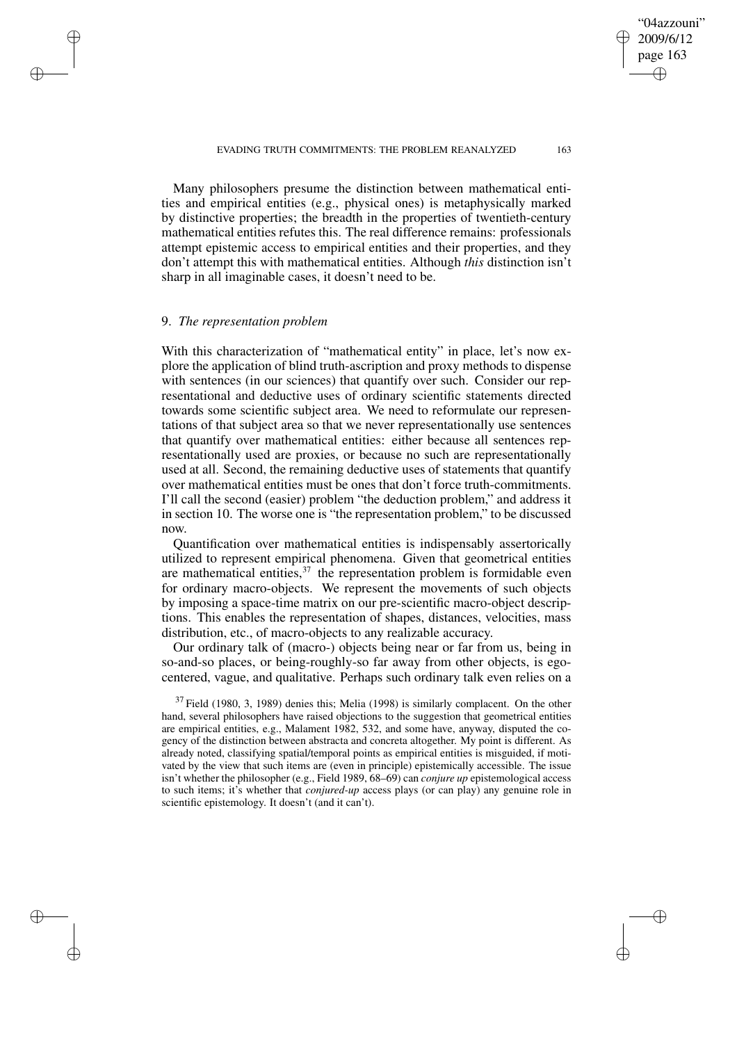Many philosophers presume the distinction between mathematical entities and empirical entities (e.g., physical ones) is metaphysically marked by distinctive properties; the breadth in the properties of twentieth-century mathematical entities refutes this. The real difference remains: professionals attempt epistemic access to empirical entities and their properties, and they don't attempt this with mathematical entities. Although *this* distinction isn't sharp in all imaginable cases, it doesn't need to be.

## 9. *The representation problem*

✐

✐

✐

✐

With this characterization of "mathematical entity" in place, let's now explore the application of blind truth-ascription and proxy methods to dispense with sentences (in our sciences) that quantify over such. Consider our representational and deductive uses of ordinary scientific statements directed towards some scientific subject area. We need to reformulate our representations of that subject area so that we never representationally use sentences that quantify over mathematical entities: either because all sentences representationally used are proxies, or because no such are representationally used at all. Second, the remaining deductive uses of statements that quantify over mathematical entities must be ones that don't force truth-commitments. I'll call the second (easier) problem "the deduction problem," and address it in section 10. The worse one is "the representation problem," to be discussed now.

Quantification over mathematical entities is indispensably assertorically utilized to represent empirical phenomena. Given that geometrical entities are mathematical entities, $37$  the representation problem is formidable even for ordinary macro-objects. We represent the movements of such objects by imposing a space-time matrix on our pre-scientific macro-object descriptions. This enables the representation of shapes, distances, velocities, mass distribution, etc., of macro-objects to any realizable accuracy.

Our ordinary talk of (macro-) objects being near or far from us, being in so-and-so places, or being-roughly-so far away from other objects, is egocentered, vague, and qualitative. Perhaps such ordinary talk even relies on a

 $37$  Field (1980, 3, 1989) denies this; Melia (1998) is similarly complacent. On the other hand, several philosophers have raised objections to the suggestion that geometrical entities are empirical entities, e.g., Malament 1982, 532, and some have, anyway, disputed the cogency of the distinction between abstracta and concreta altogether. My point is different. As already noted, classifying spatial/temporal points as empirical entities is misguided, if motivated by the view that such items are (even in principle) epistemically accessible. The issue isn't whether the philosopher (e.g., Field 1989, 68–69) can *conjure up* epistemological access to such items; it's whether that *conjured-up* access plays (or can play) any genuine role in scientific epistemology. It doesn't (and it can't).

"04azzouni" 2009/6/12 page 163

✐

✐

✐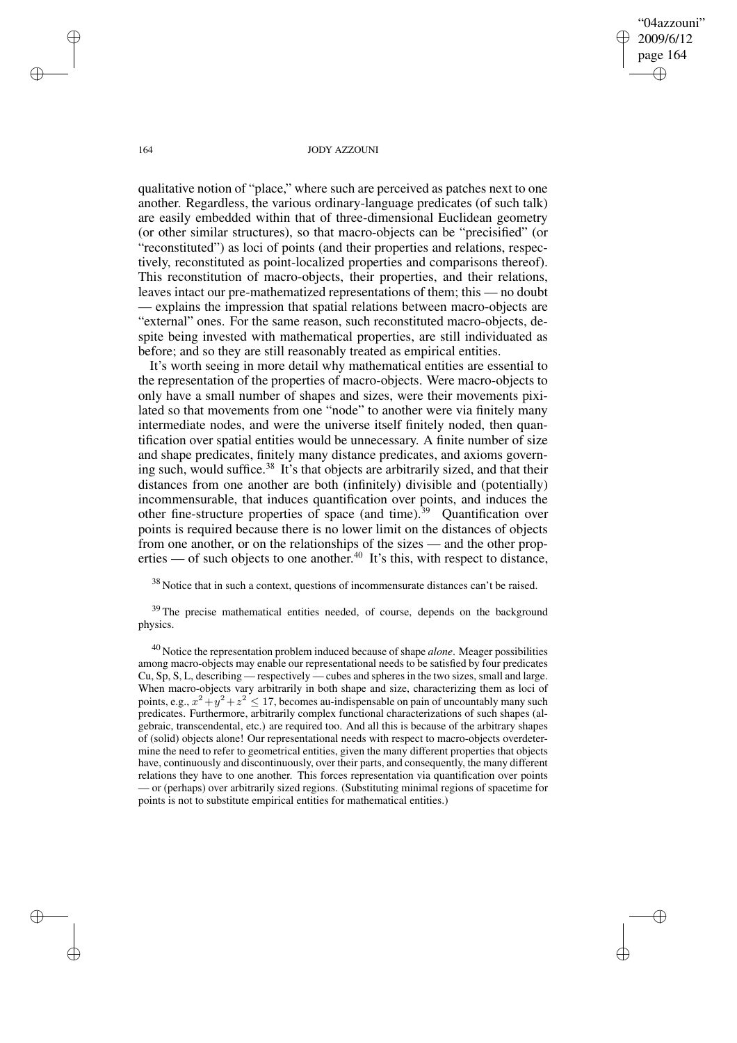"04azzouni" 2009/6/12 page 164 ✐ ✐

✐

✐

## 164 JODY AZZOUNI

qualitative notion of "place," where such are perceived as patches next to one another. Regardless, the various ordinary-language predicates (of such talk) are easily embedded within that of three-dimensional Euclidean geometry (or other similar structures), so that macro-objects can be "precisified" (or "reconstituted") as loci of points (and their properties and relations, respectively, reconstituted as point-localized properties and comparisons thereof). This reconstitution of macro-objects, their properties, and their relations, leaves intact our pre-mathematized representations of them; this — no doubt — explains the impression that spatial relations between macro-objects are "external" ones. For the same reason, such reconstituted macro-objects, despite being invested with mathematical properties, are still individuated as before; and so they are still reasonably treated as empirical entities.

It's worth seeing in more detail why mathematical entities are essential to the representation of the properties of macro-objects. Were macro-objects to only have a small number of shapes and sizes, were their movements pixilated so that movements from one "node" to another were via finitely many intermediate nodes, and were the universe itself finitely noded, then quantification over spatial entities would be unnecessary. A finite number of size and shape predicates, finitely many distance predicates, and axioms governing such, would suffice.<sup>38</sup> It's that objects are arbitrarily sized, and that their distances from one another are both (infinitely) divisible and (potentially) incommensurable, that induces quantification over points, and induces the other fine-structure properties of space (and time).<sup>39</sup> Quantification over points is required because there is no lower limit on the distances of objects from one another, or on the relationships of the sizes — and the other properties — of such objects to one another.<sup>40</sup> It's this, with respect to distance,

 $38$  Notice that in such a context, questions of incommensurate distances can't be raised.

<sup>39</sup> The precise mathematical entities needed, of course, depends on the background physics.

<sup>40</sup> Notice the representation problem induced because of shape *alone*. Meager possibilities among macro-objects may enable our representational needs to be satisfied by four predicates Cu, Sp, S, L, describing — respectively — cubes and spheres in the two sizes, small and large. When macro-objects vary arbitrarily in both shape and size, characterizing them as loci of points, e.g.,  $x^2 + y^2 + z^2 \le 17$ , becomes au-indispensable on pain of uncountably many such predicates. Furthermore, arbitrarily complex functional characterizations of such shapes (algebraic, transcendental, etc.) are required too. And all this is because of the arbitrary shapes of (solid) objects alone! Our representational needs with respect to macro-objects overdetermine the need to refer to geometrical entities, given the many different properties that objects have, continuously and discontinuously, over their parts, and consequently, the many different relations they have to one another. This forces representation via quantification over points — or (perhaps) over arbitrarily sized regions. (Substituting minimal regions of spacetime for points is not to substitute empirical entities for mathematical entities.)

✐

✐

✐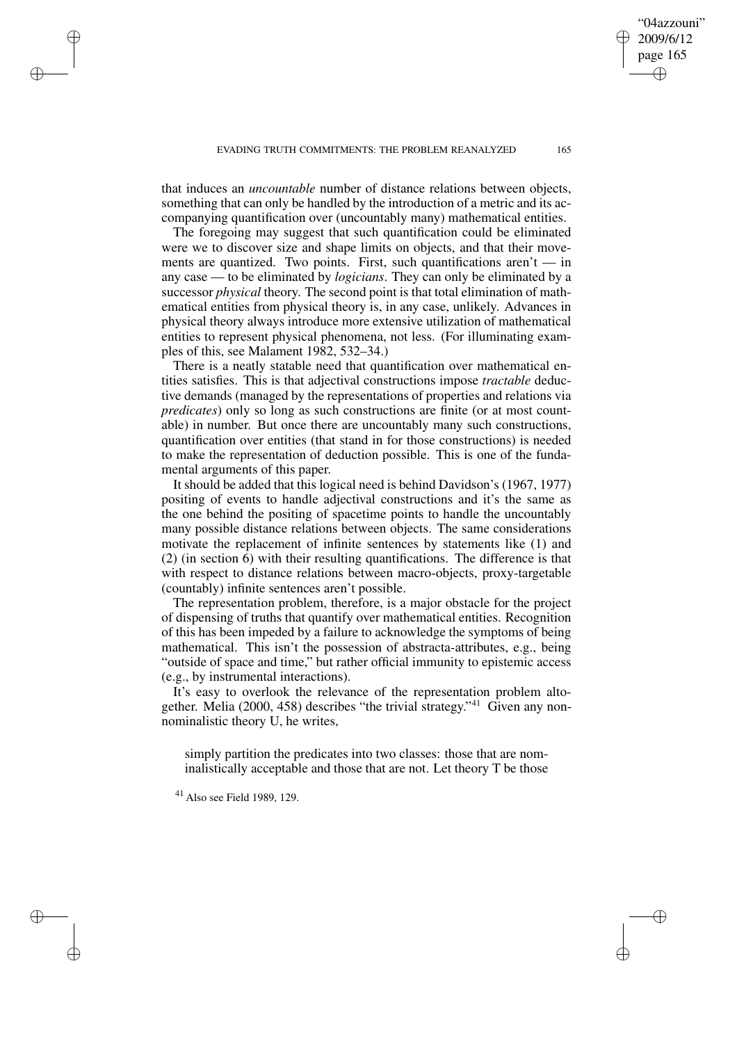that induces an *uncountable* number of distance relations between objects, something that can only be handled by the introduction of a metric and its accompanying quantification over (uncountably many) mathematical entities.

The foregoing may suggest that such quantification could be eliminated were we to discover size and shape limits on objects, and that their movements are quantized. Two points. First, such quantifications aren't  $-$  in any case — to be eliminated by *logicians*. They can only be eliminated by a successor *physical* theory. The second point is that total elimination of mathematical entities from physical theory is, in any case, unlikely. Advances in physical theory always introduce more extensive utilization of mathematical entities to represent physical phenomena, not less. (For illuminating examples of this, see Malament 1982, 532–34.)

There is a neatly statable need that quantification over mathematical entities satisfies. This is that adjectival constructions impose *tractable* deductive demands (managed by the representations of properties and relations via *predicates*) only so long as such constructions are finite (or at most countable) in number. But once there are uncountably many such constructions, quantification over entities (that stand in for those constructions) is needed to make the representation of deduction possible. This is one of the fundamental arguments of this paper.

It should be added that this logical need is behind Davidson's (1967, 1977) positing of events to handle adjectival constructions and it's the same as the one behind the positing of spacetime points to handle the uncountably many possible distance relations between objects. The same considerations motivate the replacement of infinite sentences by statements like (1) and (2) (in section 6) with their resulting quantifications. The difference is that with respect to distance relations between macro-objects, proxy-targetable (countably) infinite sentences aren't possible.

The representation problem, therefore, is a major obstacle for the project of dispensing of truths that quantify over mathematical entities. Recognition of this has been impeded by a failure to acknowledge the symptoms of being mathematical. This isn't the possession of abstracta-attributes, e.g., being "outside of space and time," but rather official immunity to epistemic access (e.g., by instrumental interactions).

It's easy to overlook the relevance of the representation problem altogether. Melia (2000, 458) describes "the trivial strategy."<sup>41</sup> Given any nonnominalistic theory U, he writes,

simply partition the predicates into two classes: those that are nominalistically acceptable and those that are not. Let theory T be those

<sup>41</sup> Also see Field 1989, 129.

✐

✐

✐

✐

"04azzouni" 2009/6/12 page 165

✐

✐

✐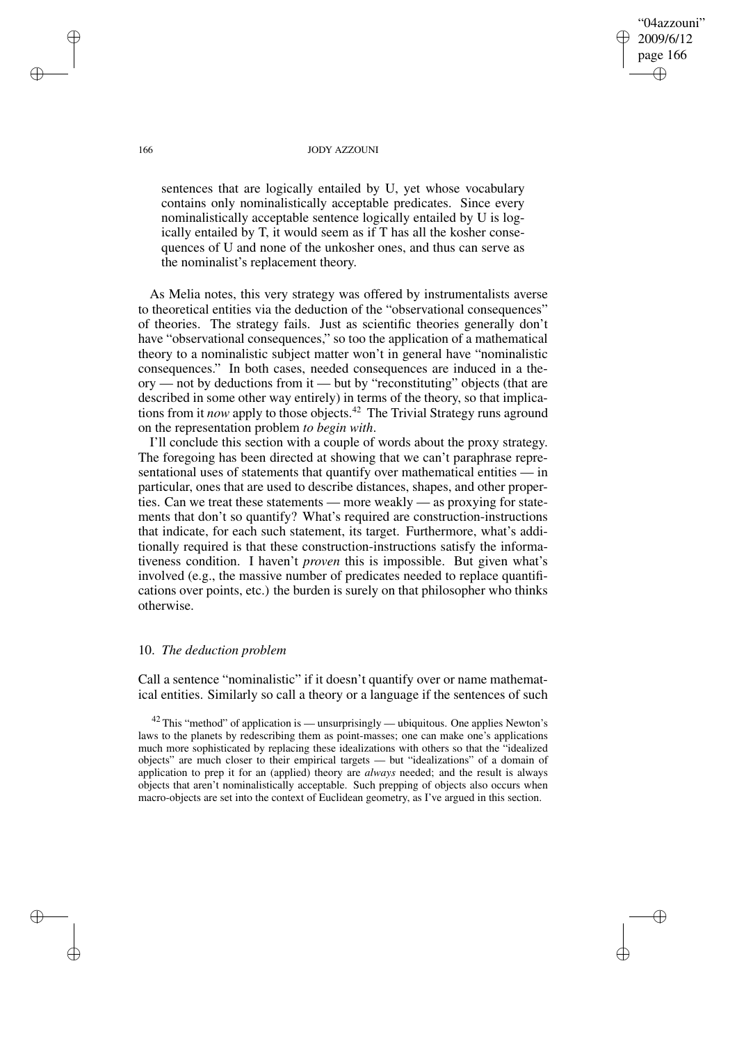166 JODY AZZOUNI

"04azzouni" 2009/6/12 page 166

✐

✐

✐

✐

sentences that are logically entailed by U, yet whose vocabulary contains only nominalistically acceptable predicates. Since every nominalistically acceptable sentence logically entailed by U is logically entailed by T, it would seem as if T has all the kosher consequences of U and none of the unkosher ones, and thus can serve as the nominalist's replacement theory.

As Melia notes, this very strategy was offered by instrumentalists averse to theoretical entities via the deduction of the "observational consequences" of theories. The strategy fails. Just as scientific theories generally don't have "observational consequences," so too the application of a mathematical theory to a nominalistic subject matter won't in general have "nominalistic consequences." In both cases, needed consequences are induced in a theory — not by deductions from it — but by "reconstituting" objects (that are described in some other way entirely) in terms of the theory, so that implications from it *now* apply to those objects.<sup>42</sup> The Trivial Strategy runs aground on the representation problem *to begin with*.

I'll conclude this section with a couple of words about the proxy strategy. The foregoing has been directed at showing that we can't paraphrase representational uses of statements that quantify over mathematical entities — in particular, ones that are used to describe distances, shapes, and other properties. Can we treat these statements — more weakly — as proxying for statements that don't so quantify? What's required are construction-instructions that indicate, for each such statement, its target. Furthermore, what's additionally required is that these construction-instructions satisfy the informativeness condition. I haven't *proven* this is impossible. But given what's involved (e.g., the massive number of predicates needed to replace quantifications over points, etc.) the burden is surely on that philosopher who thinks otherwise.

## 10. *The deduction problem*

Call a sentence "nominalistic" if it doesn't quantify over or name mathematical entities. Similarly so call a theory or a language if the sentences of such

 $42$  This "method" of application is — unsurprisingly — ubiquitous. One applies Newton's laws to the planets by redescribing them as point-masses; one can make one's applications much more sophisticated by replacing these idealizations with others so that the "idealized objects" are much closer to their empirical targets — but "idealizations" of a domain of application to prep it for an (applied) theory are *always* needed; and the result is always objects that aren't nominalistically acceptable. Such prepping of objects also occurs when macro-objects are set into the context of Euclidean geometry, as I've argued in this section.

✐

✐

✐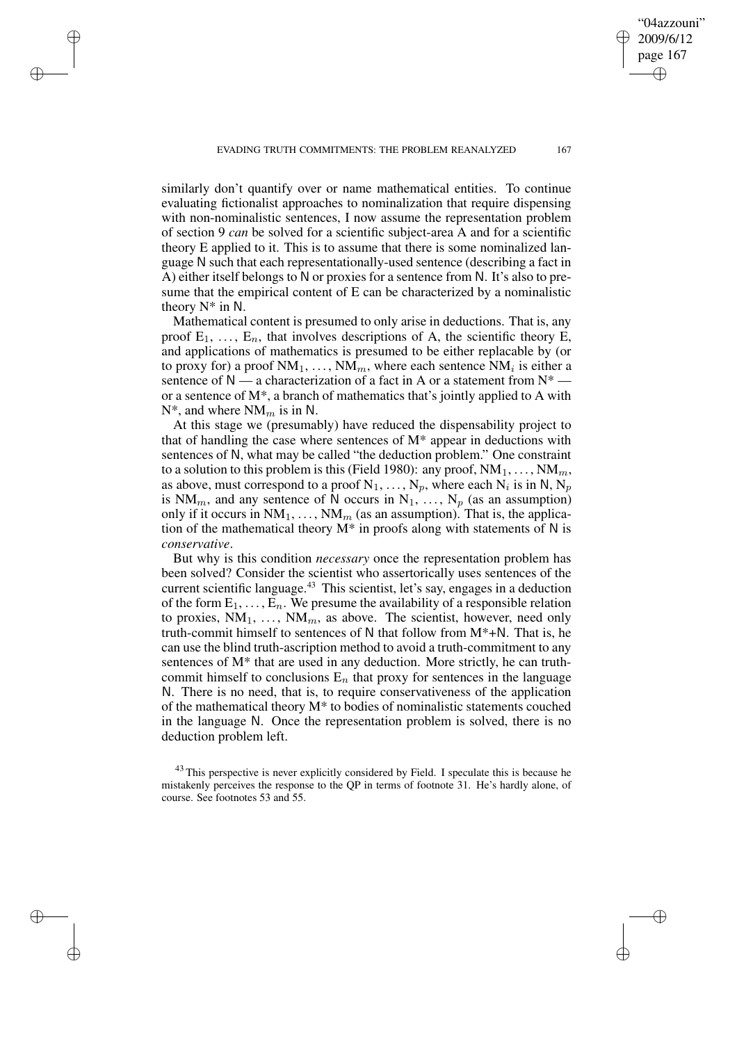EVADING TRUTH COMMITMENTS: THE PROBLEM REANALYZED 167

✐

✐

✐

✐

similarly don't quantify over or name mathematical entities. To continue evaluating fictionalist approaches to nominalization that require dispensing with non-nominalistic sentences, I now assume the representation problem of section 9 *can* be solved for a scientific subject-area A and for a scientific theory E applied to it. This is to assume that there is some nominalized language N such that each representationally-used sentence (describing a fact in A) either itself belongs to N or proxies for a sentence from N. It's also to presume that the empirical content of E can be characterized by a nominalistic theory N\* in N.

Mathematical content is presumed to only arise in deductions. That is, any proof  $E_1, \ldots, E_n$ , that involves descriptions of A, the scientific theory E, and applications of mathematics is presumed to be either replacable by (or to proxy for) a proof  $NM_1, ..., NM_m$ , where each sentence  $NM_i$  is either a sentence of  $N$  — a characterization of a fact in A or a statement from  $N^*$  or a sentence of M\*, a branch of mathematics that's jointly applied to A with  $N^*$ , and where  $NM_m$  is in N.

At this stage we (presumably) have reduced the dispensability project to that of handling the case where sentences of  $M^*$  appear in deductions with sentences of N, what may be called "the deduction problem." One constraint to a solution to this problem is this (Field 1980): any proof,  $NM_1, \ldots, NM_m$ , as above, must correspond to a proof  $N_1, \ldots, N_p$ , where each  $N_i$  is in N,  $N_p$ is NM<sub>m</sub>, and any sentence of N occurs in N<sub>1</sub>, ..., N<sub>p</sub> (as an assumption) only if it occurs in  $NM_1, \ldots, NM_m$  (as an assumption). That is, the application of the mathematical theory  $M^*$  in proofs along with statements of N is *conservative*.

But why is this condition *necessary* once the representation problem has been solved? Consider the scientist who assertorically uses sentences of the current scientific language.<sup>43</sup> This scientist, let's say, engages in a deduction of the form  $E_1, \ldots, E_n$ . We presume the availability of a responsible relation to proxies,  $NM_1, \ldots, NM_m$ , as above. The scientist, however, need only truth-commit himself to sentences of N that follow from M\*+N. That is, he can use the blind truth-ascription method to avoid a truth-commitment to any sentences of M\* that are used in any deduction. More strictly, he can truthcommit himself to conclusions  $E_n$  that proxy for sentences in the language N. There is no need, that is, to require conservativeness of the application of the mathematical theory M\* to bodies of nominalistic statements couched in the language N. Once the representation problem is solved, there is no deduction problem left.

 $43$  This perspective is never explicitly considered by Field. I speculate this is because he mistakenly perceives the response to the QP in terms of footnote 31. He's hardly alone, of course. See footnotes 53 and 55.

"04azzouni" 2009/6/12 page 167

✐

✐

✐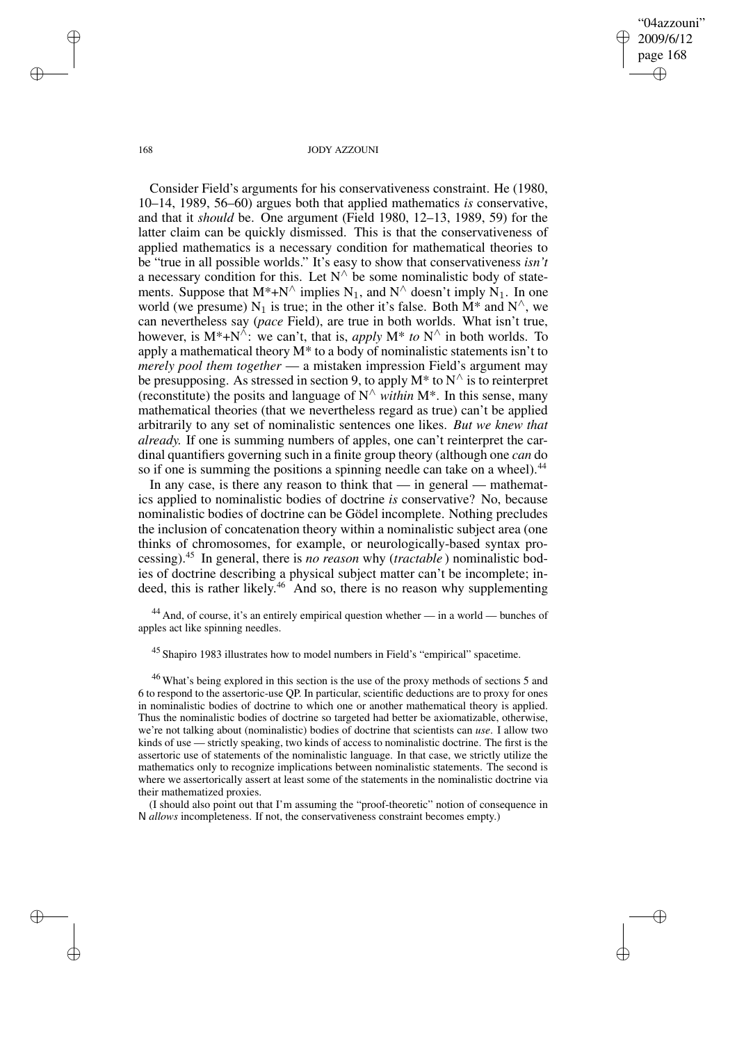"04azzouni" 2009/6/12 page 168 ✐ ✐

✐

✐

#### 168 JODY AZZOUNI

Consider Field's arguments for his conservativeness constraint. He (1980, 10–14, 1989, 56–60) argues both that applied mathematics *is* conservative, and that it *should* be. One argument (Field 1980, 12–13, 1989, 59) for the latter claim can be quickly dismissed. This is that the conservativeness of applied mathematics is a necessary condition for mathematical theories to be "true in all possible worlds." It's easy to show that conservativeness *isn't* a necessary condition for this. Let  $N^{\wedge}$  be some nominalistic body of statements. Suppose that  $M^*$ +N<sup> $\land$ </sup> implies N<sub>1</sub>, and N<sup> $\land$ </sup> doesn't imply N<sub>1</sub>. In one world (we presume) N<sub>1</sub> is true; in the other it's false. Both  $\overline{M^*}$  and  $\overline{N}^{\wedge}$ , we can nevertheless say (*pace* Field), are true in both worlds. What isn't true, however, is  $M^* + N^{\hat{\wedge}}$ : we can't, that is, *apply*  $M^*$  *to*  $N^{\hat{\wedge}}$  in both worlds. To apply a mathematical theory  $M^*$  to a body of nominalistic statements isn't to *merely pool them together* — a mistaken impression Field's argument may be presupposing. As stressed in section 9, to apply  $M^*$  to  $N^{\wedge}$  is to reinterpret (reconstitute) the posits and language of  $N^{\wedge}$  *within* M<sup>\*</sup>. In this sense, many mathematical theories (that we nevertheless regard as true) can't be applied arbitrarily to any set of nominalistic sentences one likes. *But we knew that already.* If one is summing numbers of apples, one can't reinterpret the cardinal quantifiers governing such in a finite group theory (although one *can* do so if one is summing the positions a spinning needle can take on a wheel).<sup>44</sup>

In any case, is there any reason to think that  $-$  in general  $-$  mathematics applied to nominalistic bodies of doctrine *is* conservative? No, because nominalistic bodies of doctrine can be Gödel incomplete. Nothing precludes the inclusion of concatenation theory within a nominalistic subject area (one thinks of chromosomes, for example, or neurologically-based syntax processing).<sup>45</sup> In general, there is *no reason* why (*tractable* ) nominalistic bodies of doctrine describing a physical subject matter can't be incomplete; indeed, this is rather likely. <sup>46</sup> And so, there is no reason why supplementing

<sup>44</sup> And, of course, it's an entirely empirical question whether — in a world — bunches of apples act like spinning needles.

<sup>45</sup> Shapiro 1983 illustrates how to model numbers in Field's "empirical" spacetime.

<sup>46</sup> What's being explored in this section is the use of the proxy methods of sections 5 and 6 to respond to the assertoric-use QP. In particular, scientific deductions are to proxy for ones in nominalistic bodies of doctrine to which one or another mathematical theory is applied. Thus the nominalistic bodies of doctrine so targeted had better be axiomatizable, otherwise, we're not talking about (nominalistic) bodies of doctrine that scientists can *use*. I allow two kinds of use — strictly speaking, two kinds of access to nominalistic doctrine. The first is the assertoric use of statements of the nominalistic language. In that case, we strictly utilize the mathematics only to recognize implications between nominalistic statements. The second is where we assertorically assert at least some of the statements in the nominalistic doctrine via their mathematized proxies.

(I should also point out that I'm assuming the "proof-theoretic" notion of consequence in N *allows* incompleteness. If not, the conservativeness constraint becomes empty.)

✐

✐

✐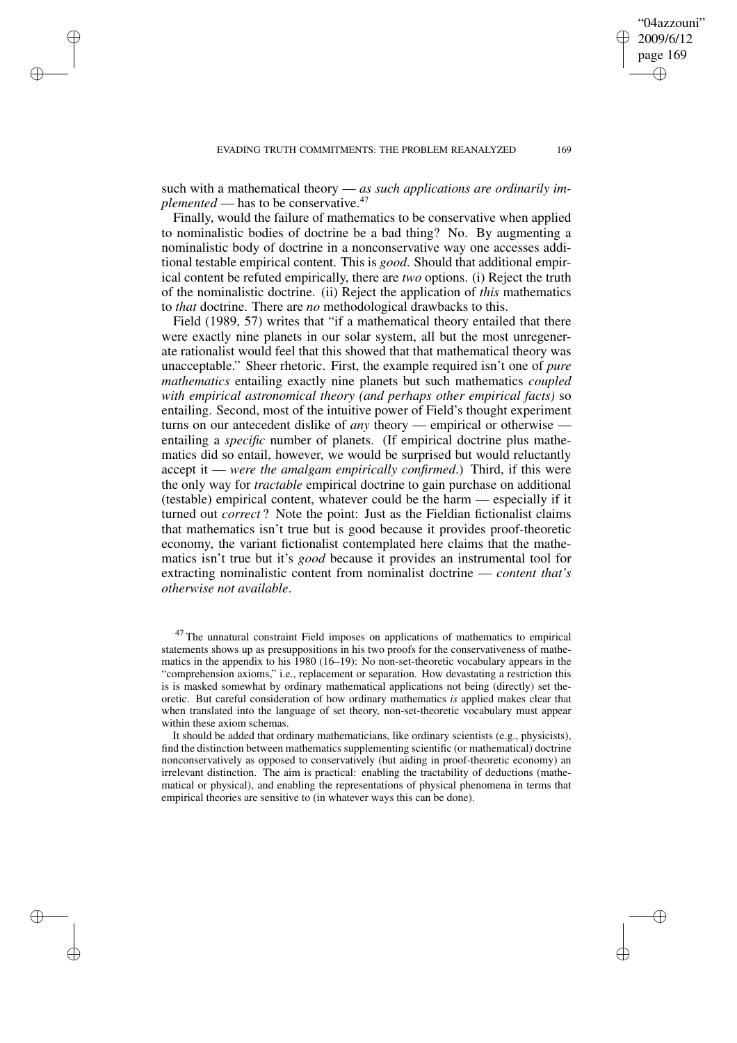such with a mathematical theory — *as such applications are ordinarily implemented* — has to be conservative.<sup>47</sup>

✐

✐

✐

✐

Finally, would the failure of mathematics to be conservative when applied to nominalistic bodies of doctrine be a bad thing? No. By augmenting a nominalistic body of doctrine in a nonconservative way one accesses additional testable empirical content. This is *good*. Should that additional empirical content be refuted empirically, there are *two* options. (i) Reject the truth of the nominalistic doctrine. (ii) Reject the application of *this* mathematics to *that* doctrine. There are *no* methodological drawbacks to this.

Field (1989, 57) writes that "if a mathematical theory entailed that there were exactly nine planets in our solar system, all but the most unregenerate rationalist would feel that this showed that that mathematical theory was unacceptable." Sheer rhetoric. First, the example required isn't one of *pure mathematics* entailing exactly nine planets but such mathematics *coupled with empirical astronomical theory (and perhaps other empirical facts)* so entailing. Second, most of the intuitive power of Field's thought experiment turns on our antecedent dislike of *any* theory — empirical or otherwise entailing a *specific* number of planets. (If empirical doctrine plus mathematics did so entail, however, we would be surprised but would reluctantly accept it — *were the amalgam empirically confirmed*.) Third, if this were the only way for *tractable* empirical doctrine to gain purchase on additional (testable) empirical content, whatever could be the harm — especially if it turned out *correct* ? Note the point: Just as the Fieldian fictionalist claims that mathematics isn't true but is good because it provides proof-theoretic economy, the variant fictionalist contemplated here claims that the mathematics isn't true but it's *good* because it provides an instrumental tool for extracting nominalistic content from nominalist doctrine — *content that's otherwise not available*.

 $47$  The unnatural constraint Field imposes on applications of mathematics to empirical statements shows up as presuppositions in his two proofs for the conservativeness of mathematics in the appendix to his 1980 (16–19): No non-set-theoretic vocabulary appears in the "comprehension axioms," i.e., replacement or separation. How devastating a restriction this is is masked somewhat by ordinary mathematical applications not being (directly) set theoretic. But careful consideration of how ordinary mathematics *is* applied makes clear that when translated into the language of set theory, non-set-theoretic vocabulary must appear within these axiom schemas.

It should be added that ordinary mathematicians, like ordinary scientists (e.g., physicists), find the distinction between mathematics supplementing scientific (or mathematical) doctrine nonconservatively as opposed to conservatively (but aiding in proof-theoretic economy) an irrelevant distinction. The aim is practical: enabling the tractability of deductions (mathematical or physical), and enabling the representations of physical phenomena in terms that empirical theories are sensitive to (in whatever ways this can be done).

"04azzouni" 2009/6/12 page 169

✐

✐

✐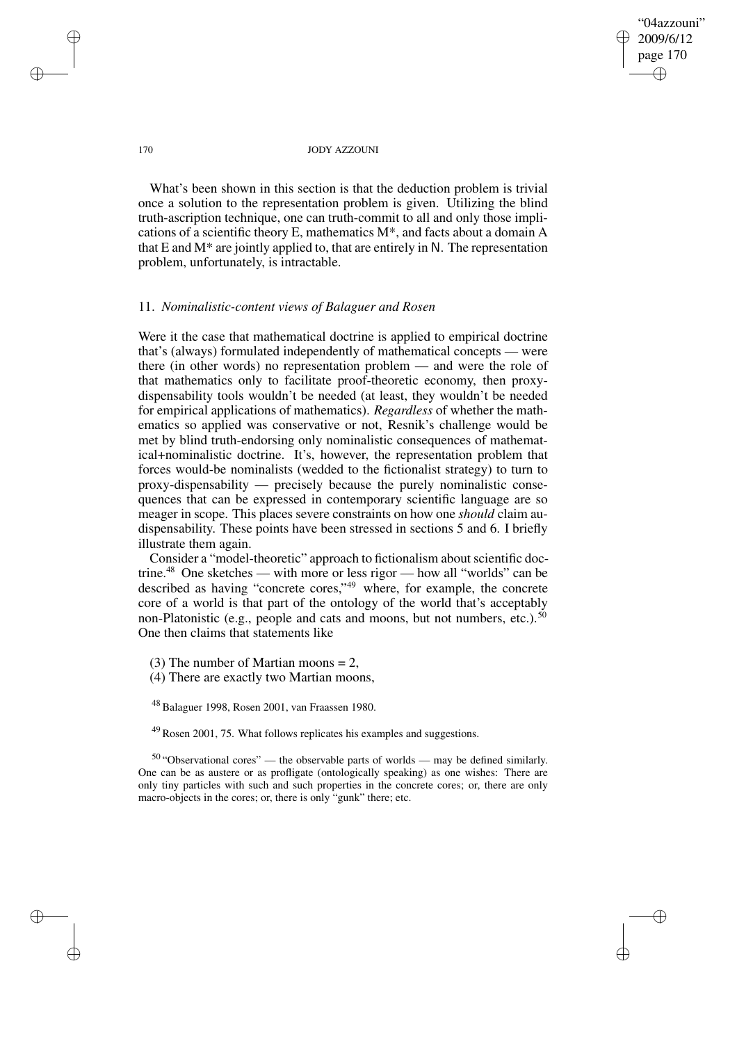"04azzouni" 2009/6/12 page 170 ✐ ✐

✐

✐

#### 170 JODY AZZOUNI

What's been shown in this section is that the deduction problem is trivial once a solution to the representation problem is given. Utilizing the blind truth-ascription technique, one can truth-commit to all and only those implications of a scientific theory E, mathematics M\*, and facts about a domain A that E and  $M^*$  are jointly applied to, that are entirely in N. The representation problem, unfortunately, is intractable.

# 11. *Nominalistic-content views of Balaguer and Rosen*

Were it the case that mathematical doctrine is applied to empirical doctrine that's (always) formulated independently of mathematical concepts — were there (in other words) no representation problem — and were the role of that mathematics only to facilitate proof-theoretic economy, then proxydispensability tools wouldn't be needed (at least, they wouldn't be needed for empirical applications of mathematics). *Regardless* of whether the mathematics so applied was conservative or not, Resnik's challenge would be met by blind truth-endorsing only nominalistic consequences of mathematical+nominalistic doctrine. It's, however, the representation problem that forces would-be nominalists (wedded to the fictionalist strategy) to turn to proxy-dispensability — precisely because the purely nominalistic consequences that can be expressed in contemporary scientific language are so meager in scope. This places severe constraints on how one *should* claim audispensability. These points have been stressed in sections 5 and 6. I briefly illustrate them again.

Consider a "model-theoretic" approach to fictionalism about scientific doctrine.<sup>48</sup> One sketches — with more or less rigor — how all "worlds" can be described as having "concrete cores," <sup>49</sup> where, for example, the concrete core of a world is that part of the ontology of the world that's acceptably non-Platonistic (e.g., people and cats and moons, but not numbers, etc.).<sup>50</sup> One then claims that statements like

(3) The number of Martian moons  $= 2$ ,

(4) There are exactly two Martian moons,

<sup>48</sup> Balaguer 1998, Rosen 2001, van Fraassen 1980.

<sup>49</sup> Rosen 2001, 75. What follows replicates his examples and suggestions.

 $50$  "Observational cores" — the observable parts of worlds — may be defined similarly. One can be as austere or as profligate (ontologically speaking) as one wishes: There are only tiny particles with such and such properties in the concrete cores; or, there are only macro-objects in the cores; or, there is only "gunk" there; etc.

✐

✐

✐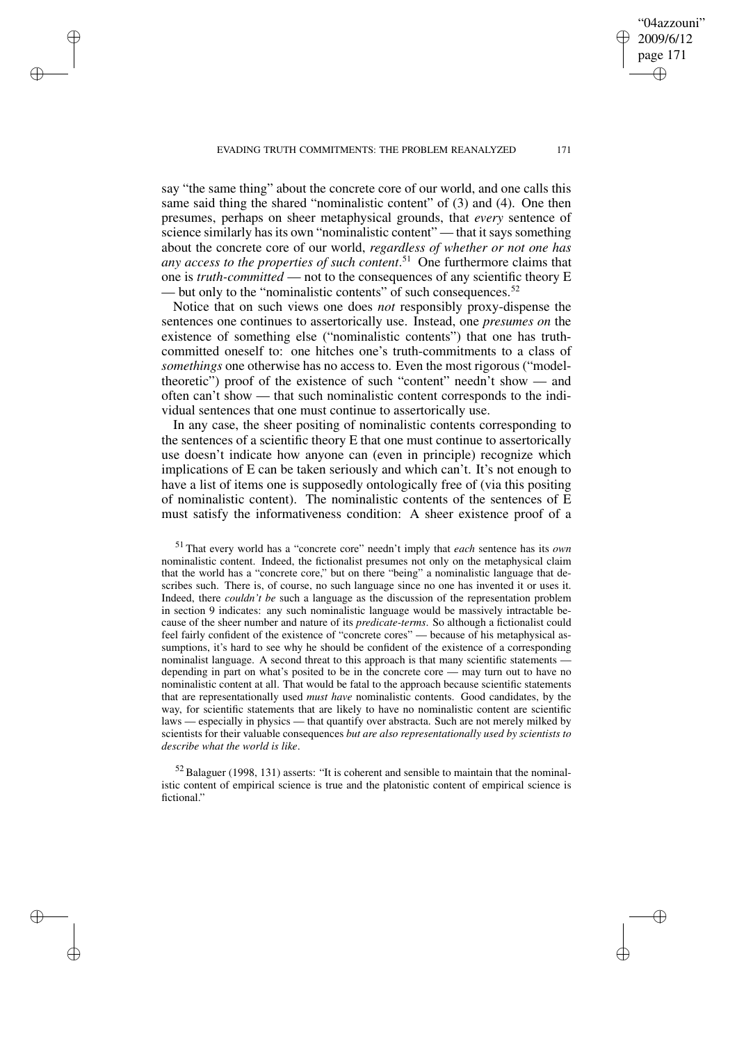say "the same thing" about the concrete core of our world, and one calls this same said thing the shared "nominalistic content" of (3) and (4). One then presumes, perhaps on sheer metaphysical grounds, that *every* sentence of science similarly has its own "nominalistic content" — that it says something about the concrete core of our world, *regardless of whether or not one has any access to the properties of such content*. <sup>51</sup> One furthermore claims that one is *truth-committed* — not to the consequences of any scientific theory E — but only to the "nominalistic contents" of such consequences.<sup>52</sup>

✐

✐

✐

✐

Notice that on such views one does *not* responsibly proxy-dispense the sentences one continues to assertorically use. Instead, one *presumes on* the existence of something else ("nominalistic contents") that one has truthcommitted oneself to: one hitches one's truth-commitments to a class of *somethings* one otherwise has no access to. Even the most rigorous ("modeltheoretic") proof of the existence of such "content" needn't show — and often can't show — that such nominalistic content corresponds to the individual sentences that one must continue to assertorically use.

In any case, the sheer positing of nominalistic contents corresponding to the sentences of a scientific theory E that one must continue to assertorically use doesn't indicate how anyone can (even in principle) recognize which implications of E can be taken seriously and which can't. It's not enough to have a list of items one is supposedly ontologically free of (via this positing of nominalistic content). The nominalistic contents of the sentences of E must satisfy the informativeness condition: A sheer existence proof of a

<sup>51</sup> That every world has a "concrete core" needn't imply that *each* sentence has its *own* nominalistic content. Indeed, the fictionalist presumes not only on the metaphysical claim that the world has a "concrete core," but on there "being" a nominalistic language that describes such. There is, of course, no such language since no one has invented it or uses it. Indeed, there *couldn't be* such a language as the discussion of the representation problem in section 9 indicates: any such nominalistic language would be massively intractable because of the sheer number and nature of its *predicate-terms*. So although a fictionalist could feel fairly confident of the existence of "concrete cores" — because of his metaphysical assumptions, it's hard to see why he should be confident of the existence of a corresponding nominalist language. A second threat to this approach is that many scientific statements depending in part on what's posited to be in the concrete core — may turn out to have no nominalistic content at all. That would be fatal to the approach because scientific statements that are representationally used *must have* nominalistic contents. Good candidates, by the way, for scientific statements that are likely to have no nominalistic content are scientific laws — especially in physics — that quantify over abstracta. Such are not merely milked by scientists for their valuable consequences *but are also representationally used by scientists to describe what the world is like*.

 $52$  Balaguer (1998, 131) asserts: "It is coherent and sensible to maintain that the nominalistic content of empirical science is true and the platonistic content of empirical science is fictional."

"04azzouni" 2009/6/12 page 171

✐

✐

✐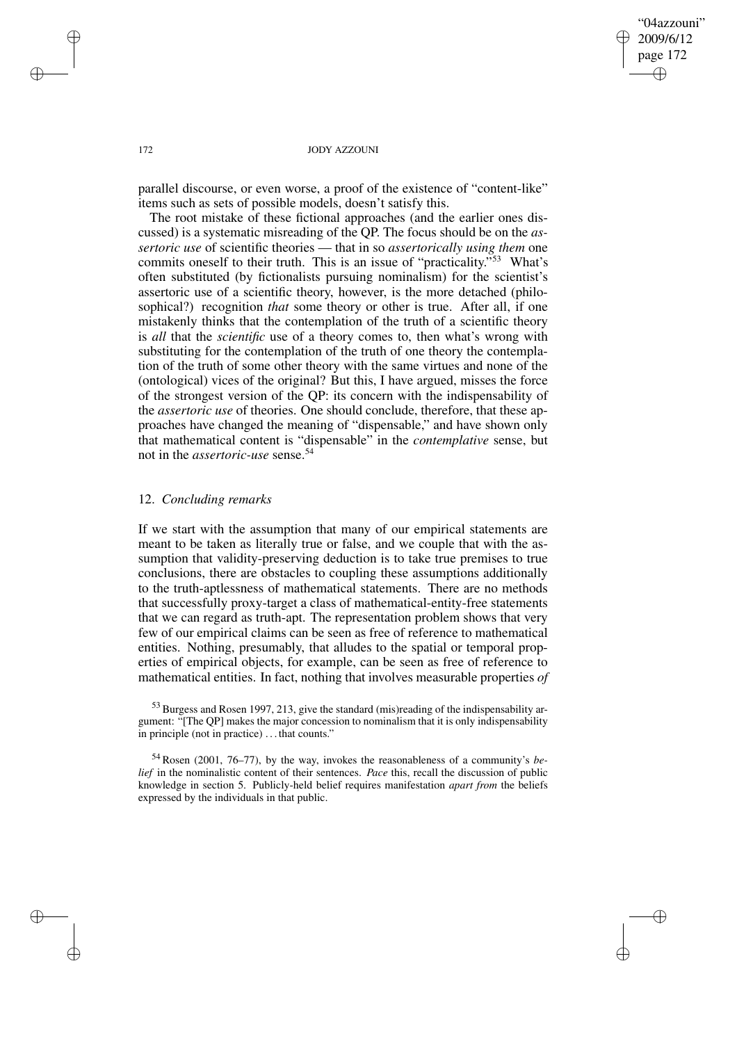"04azzouni" 2009/6/12 page 172 ✐ ✐

✐

✐

## 172 JODY AZZOUNI

parallel discourse, or even worse, a proof of the existence of "content-like" items such as sets of possible models, doesn't satisfy this.

The root mistake of these fictional approaches (and the earlier ones discussed) is a systematic misreading of the QP. The focus should be on the *assertoric use* of scientific theories — that in so *assertorically using them* one commits oneself to their truth. This is an issue of "practicality." <sup>53</sup> What's often substituted (by fictionalists pursuing nominalism) for the scientist's assertoric use of a scientific theory, however, is the more detached (philosophical?) recognition *that* some theory or other is true. After all, if one mistakenly thinks that the contemplation of the truth of a scientific theory is *all* that the *scientific* use of a theory comes to, then what's wrong with substituting for the contemplation of the truth of one theory the contemplation of the truth of some other theory with the same virtues and none of the (ontological) vices of the original? But this, I have argued, misses the force of the strongest version of the QP: its concern with the indispensability of the *assertoric use* of theories. One should conclude, therefore, that these approaches have changed the meaning of "dispensable," and have shown only that mathematical content is "dispensable" in the *contemplative* sense, but not in the *assertoric-use* sense.<sup>54</sup>

## 12. *Concluding remarks*

If we start with the assumption that many of our empirical statements are meant to be taken as literally true or false, and we couple that with the assumption that validity-preserving deduction is to take true premises to true conclusions, there are obstacles to coupling these assumptions additionally to the truth-aptlessness of mathematical statements. There are no methods that successfully proxy-target a class of mathematical-entity-free statements that we can regard as truth-apt. The representation problem shows that very few of our empirical claims can be seen as free of reference to mathematical entities. Nothing, presumably, that alludes to the spatial or temporal properties of empirical objects, for example, can be seen as free of reference to mathematical entities. In fact, nothing that involves measurable properties *of*

<sup>53</sup> Burgess and Rosen 1997, 213, give the standard (mis)reading of the indispensability argument: "[The QP] makes the major concession to nominalism that it is only indispensability in principle (not in practice) . . . that counts."

<sup>54</sup> Rosen (2001, 76–77), by the way, invokes the reasonableness of a community's *belief* in the nominalistic content of their sentences. *Pace* this, recall the discussion of public knowledge in section 5. Publicly-held belief requires manifestation *apart from* the beliefs expressed by the individuals in that public.

✐

✐

✐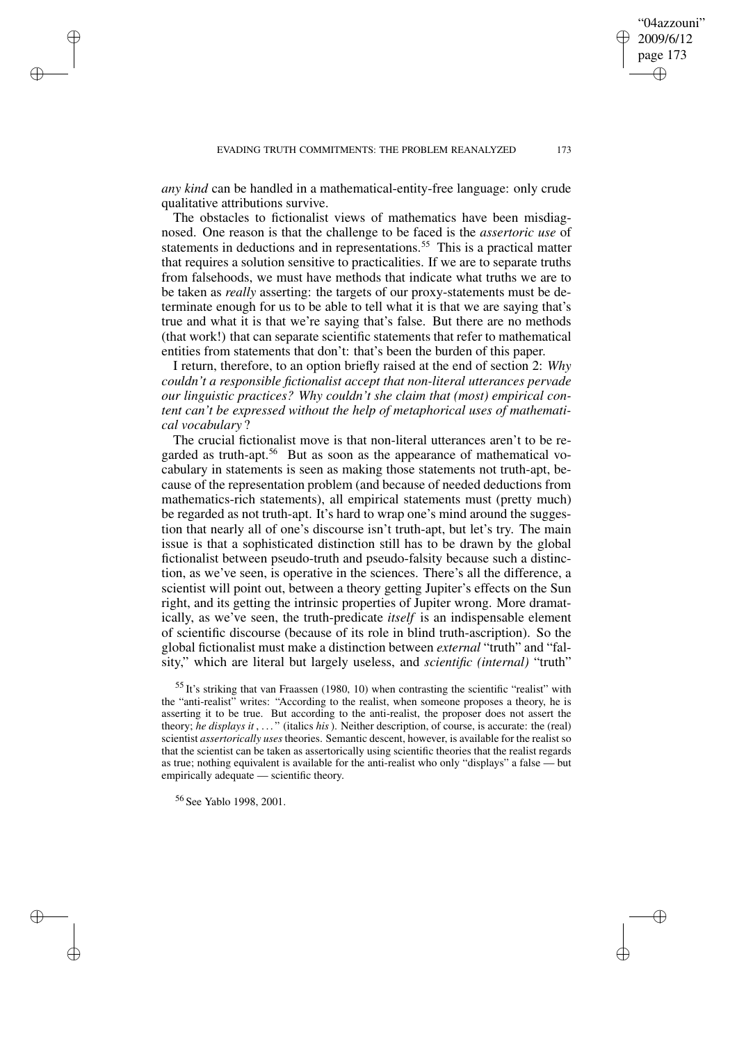*any kind* can be handled in a mathematical-entity-free language: only crude qualitative attributions survive.

The obstacles to fictionalist views of mathematics have been misdiagnosed. One reason is that the challenge to be faced is the *assertoric use* of statements in deductions and in representations.<sup>55</sup> This is a practical matter that requires a solution sensitive to practicalities. If we are to separate truths from falsehoods, we must have methods that indicate what truths we are to be taken as *really* asserting: the targets of our proxy-statements must be determinate enough for us to be able to tell what it is that we are saying that's true and what it is that we're saying that's false. But there are no methods (that work!) that can separate scientific statements that refer to mathematical entities from statements that don't: that's been the burden of this paper.

I return, therefore, to an option briefly raised at the end of section 2: *Why couldn't a responsible fictionalist accept that non-literal utterances pervade our linguistic practices? Why couldn't she claim that (most) empirical content can't be expressed without the help of metaphorical uses of mathematical vocabulary* ?

The crucial fictionalist move is that non-literal utterances aren't to be regarded as truth-apt.<sup>56</sup> But as soon as the appearance of mathematical vocabulary in statements is seen as making those statements not truth-apt, because of the representation problem (and because of needed deductions from mathematics-rich statements), all empirical statements must (pretty much) be regarded as not truth-apt. It's hard to wrap one's mind around the suggestion that nearly all of one's discourse isn't truth-apt, but let's try. The main issue is that a sophisticated distinction still has to be drawn by the global fictionalist between pseudo-truth and pseudo-falsity because such a distinction, as we've seen, is operative in the sciences. There's all the difference, a scientist will point out, between a theory getting Jupiter's effects on the Sun right, and its getting the intrinsic properties of Jupiter wrong. More dramatically, as we've seen, the truth-predicate *itself* is an indispensable element of scientific discourse (because of its role in blind truth-ascription). So the global fictionalist must make a distinction between *external* "truth" and "falsity," which are literal but largely useless, and *scientific (internal)* "truth"

<sup>55</sup> It's striking that van Fraassen (1980, 10) when contrasting the scientific "realist" with the "anti-realist" writes: "According to the realist, when someone proposes a theory, he is asserting it to be true. But according to the anti-realist, the proposer does not assert the theory; *he displays it* , . . . " (italics *his*). Neither description, of course, is accurate: the (real) scientist *assertorically uses* theories. Semantic descent, however, is available for the realist so that the scientist can be taken as assertorically using scientific theories that the realist regards as true; nothing equivalent is available for the anti-realist who only "displays" a false — but empirically adequate — scientific theory.

<sup>56</sup> See Yablo 1998, 2001.

✐

✐

✐

✐

"04azzouni" 2009/6/12 page 173

✐

✐

✐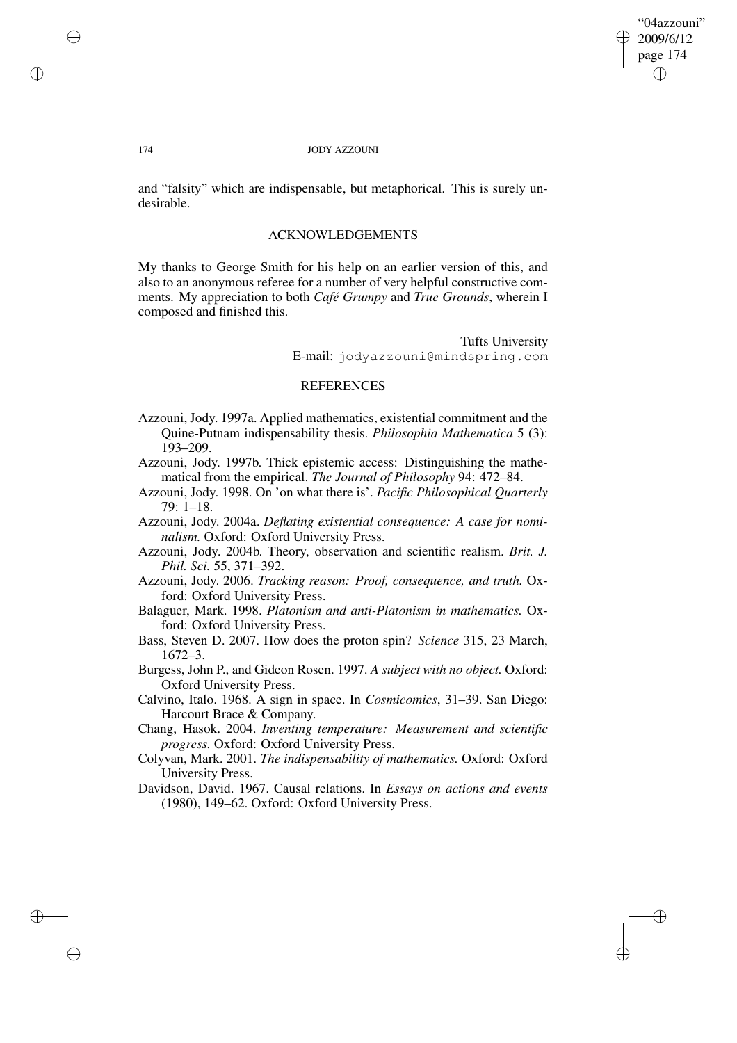"04azzouni" 2009/6/12 page 174 ✐ ✐

✐

✐

## 174 JODY AZZOUNI

and "falsity" which are indispensable, but metaphorical. This is surely undesirable.

# ACKNOWLEDGEMENTS

My thanks to George Smith for his help on an earlier version of this, and also to an anonymous referee for a number of very helpful constructive comments. My appreciation to both *Café Grumpy* and *True Grounds*, wherein I composed and finished this.

> Tufts University E-mail: jodyazzouni@mindspring.com

# **REFERENCES**

- Azzouni, Jody. 1997a. Applied mathematics, existential commitment and the Quine-Putnam indispensability thesis. *Philosophia Mathematica* 5 (3): 193–209.
- Azzouni, Jody. 1997b. Thick epistemic access: Distinguishing the mathematical from the empirical. *The Journal of Philosophy* 94: 472–84.
- Azzouni, Jody. 1998. On 'on what there is'. *Pacific Philosophical Quarterly* 79: 1–18.
- Azzouni, Jody. 2004a. *Deflating existential consequence: A case for nominalism.* Oxford: Oxford University Press.
- Azzouni, Jody. 2004b. Theory, observation and scientific realism. *Brit. J. Phil. Sci.* 55, 371–392.
- Azzouni, Jody. 2006. *Tracking reason: Proof, consequence, and truth.* Oxford: Oxford University Press.
- Balaguer, Mark. 1998. *Platonism and anti-Platonism in mathematics.* Oxford: Oxford University Press.
- Bass, Steven D. 2007. How does the proton spin? *Science* 315, 23 March, 1672–3.
- Burgess, John P., and Gideon Rosen. 1997. *A subject with no object.* Oxford: Oxford University Press.
- Calvino, Italo. 1968. A sign in space. In *Cosmicomics*, 31–39. San Diego: Harcourt Brace & Company.

Chang, Hasok. 2004. *Inventing temperature: Measurement and scientific progress.* Oxford: Oxford University Press.

- Colyvan, Mark. 2001. *The indispensability of mathematics.* Oxford: Oxford University Press.
- Davidson, David. 1967. Causal relations. In *Essays on actions and events* (1980), 149–62. Oxford: Oxford University Press.

✐

✐

✐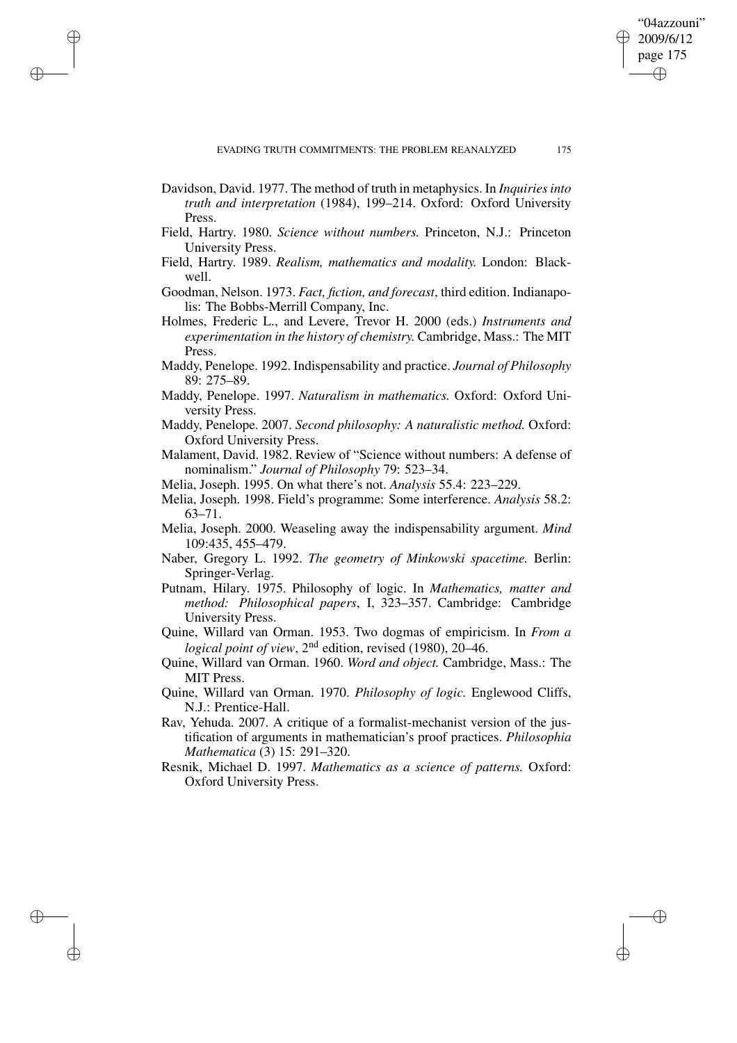"04azzouni" 2009/6/12 page 175

✐

✐

✐

✐

Davidson, David. 1977. The method of truth in metaphysics. In *Inquiriesinto truth and interpretation* (1984), 199–214. Oxford: Oxford University Press.

✐

✐

✐

- Field, Hartry. 1980. *Science without numbers.* Princeton, N.J.: Princeton University Press.
- Field, Hartry. 1989. *Realism, mathematics and modality.* London: Blackwell.
- Goodman, Nelson. 1973. *Fact, fiction, and forecast*, third edition. Indianapolis: The Bobbs-Merrill Company, Inc.
- Holmes, Frederic L., and Levere, Trevor H. 2000 (eds.) *Instruments and experimentation in the history of chemistry.* Cambridge, Mass.: The MIT Press.
- Maddy, Penelope. 1992. Indispensability and practice. *Journal of Philosophy* 89: 275–89.
- Maddy, Penelope. 1997. *Naturalism in mathematics.* Oxford: Oxford University Press.
- Maddy, Penelope. 2007. *Second philosophy: A naturalistic method.* Oxford: Oxford University Press.
- Malament, David. 1982. Review of "Science without numbers: A defense of nominalism." *Journal of Philosophy* 79: 523–34.
- Melia, Joseph. 1995. On what there's not. *Analysis* 55.4: 223–229.
- Melia, Joseph. 1998. Field's programme: Some interference. *Analysis* 58.2: 63–71.
- Melia, Joseph. 2000. Weaseling away the indispensability argument. *Mind* 109:435, 455–479.
- Naber, Gregory L. 1992. *The geometry of Minkowski spacetime.* Berlin: Springer-Verlag.
- Putnam, Hilary. 1975. Philosophy of logic. In *Mathematics, matter and method: Philosophical papers*, I, 323–357. Cambridge: Cambridge University Press.
- Quine, Willard van Orman. 1953. Two dogmas of empiricism. In *From a* logical point of view, 2<sup>nd</sup> edition, revised (1980), 20–46.
- Quine, Willard van Orman. 1960. *Word and object.* Cambridge, Mass.: The MIT Press.
- Quine, Willard van Orman. 1970. *Philosophy of logic.* Englewood Cliffs, N.J.: Prentice-Hall.
- Rav, Yehuda. 2007. A critique of a formalist-mechanist version of the justification of arguments in mathematician's proof practices. *Philosophia Mathematica* (3) 15: 291–320.
- Resnik, Michael D. 1997. *Mathematics as a science of patterns.* Oxford: Oxford University Press.